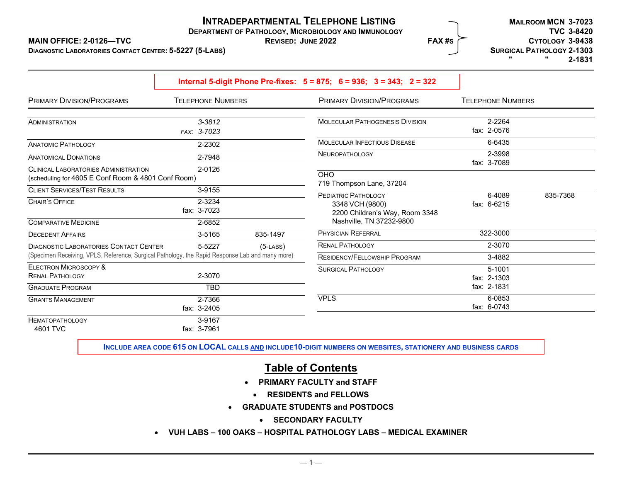# **INTRADEPARTMENTAL TELEPHONE LISTING**

**DEPARTMENT OF PATHOLOGY, MICROBIOLOGY AND IMMUNOLOGY TVC 3-8420** 

**DIAGNOSTIC LABORATORIES CONTACT CENTER: 5-5227**

|                                                                                                                                                  | Internal 5-digit Phone Pre-fixes: $5 = 875$ ; $6 = 936$ ; $3 = 343$ ; $2 = 322$ |             |                                                                                                             |                          |          |
|--------------------------------------------------------------------------------------------------------------------------------------------------|---------------------------------------------------------------------------------|-------------|-------------------------------------------------------------------------------------------------------------|--------------------------|----------|
| PRIMARY DIVISION/PROGRAMS                                                                                                                        | <b>TELEPHONE NUMBERS</b>                                                        |             | PRIMARY DIVISION/PROGRAMS                                                                                   | <b>TELEPHONE NUMBERS</b> |          |
| ADMINISTRATION                                                                                                                                   | $3 - 3812$<br>FAX: 3-7023                                                       |             | <b>MOLECULAR PATHOGENESIS DIVISION</b>                                                                      | 2-2264<br>fax: 2-0576    |          |
| <b>ANATOMIC PATHOLOGY</b>                                                                                                                        | 2-2302                                                                          |             | <b>MOLECULAR INFECTIOUS DISEASE</b>                                                                         | 6-6435                   |          |
| <b>ANATOMICAL DONATIONS</b>                                                                                                                      | 2-7948                                                                          |             | <b>NEUROPATHOLOGY</b>                                                                                       | 2-3998<br>fax: 3-7089    |          |
| <b>CLINICAL LABORATORIES ADMINISTRATION</b><br>(scheduling for 4605 E Conf Room & 4801 Conf Room)                                                | 2-0126                                                                          |             | <b>OHO</b><br>719 Thompson Lane, 37204                                                                      |                          |          |
| <b>CLIENT SERVICES/TEST RESULTS</b><br><b>CHAIR'S OFFICE</b>                                                                                     | 3-9155<br>2-3234<br>fax: 3-7023                                                 |             | <b>PEDIATRIC PATHOLOGY</b><br>3348 VCH (9800)<br>2200 Children's Way, Room 3348<br>Nashville, TN 37232-9800 | 6-4089<br>fax: 6-6215    | 835-7368 |
| <b>COMPARATIVE MEDICINE</b><br><b>DECEDENT AFFAIRS</b>                                                                                           | 2-6852<br>3-5165                                                                | 835-1497    | <b>PHYSICIAN REFERRAL</b>                                                                                   | 322-3000                 |          |
| <b>DIAGNOSTIC LABORATORIES CONTACT CENTER</b><br>(Specimen Receiving, VPLS, Reference, Surgical Pathology, the Rapid Response Lab and many more) | 5-5227                                                                          | $(5$ -LABS) | <b>RENAL PATHOLOGY</b><br><b>RESIDENCY/FELLOWSHIP PROGRAM</b>                                               | 2-3070<br>3-4882         |          |
| <b>ELECTRON MICROSCOPY &amp;</b><br><b>RENAL PATHOLOGY</b>                                                                                       | 2-3070                                                                          |             | <b>SURGICAL PATHOLOGY</b>                                                                                   | 5-1001<br>fax: 2-1303    |          |
| <b>GRADUATE PROGRAM</b>                                                                                                                          | <b>TBD</b>                                                                      |             |                                                                                                             | fax: 2-1831              |          |
| <b>GRANTS MANAGEMENT</b>                                                                                                                         | 2-7366<br>fax: 3-2405                                                           |             | <b>VPLS</b>                                                                                                 | 6-0853<br>fax: 6-0743    |          |
| <b>HEMATOPATHOLOGY</b><br>4601 TVC                                                                                                               | 3-9167<br>fax: 3-7961                                                           |             |                                                                                                             |                          |          |

**INCLUDE AREA CODE 615 ON LOCAL CALLS AND INCLUDE10-DIGIT NUMBERS ON WEBSITES, STATIONERY AND BUSINESS CARDS**

# **Table of Contents**

- **PRIMARY FACULTY and STAFF** 
	- **RESIDENTS and FELLOWS**
- **GRADUATE STUDENTS and POSTDOCS** 
	- **SECONDARY FACULTY**
- **VUH LABS 100 OAKS HOSPITAL PATHOLOGY LABS MEDICAL EXAMINER**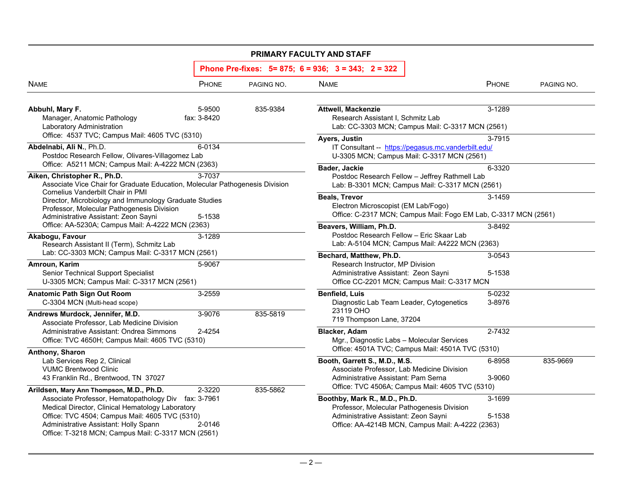|                                                                                                                                                                                                                                                                                                       |                       |            | PRIMARY FACULTY AND STAFF                                                                                                                                                                                                  |                  |            |
|-------------------------------------------------------------------------------------------------------------------------------------------------------------------------------------------------------------------------------------------------------------------------------------------------------|-----------------------|------------|----------------------------------------------------------------------------------------------------------------------------------------------------------------------------------------------------------------------------|------------------|------------|
|                                                                                                                                                                                                                                                                                                       |                       |            | Phone Pre-fixes: $5 = 875$ ; $6 = 936$ ; $3 = 343$ ; $2 = 322$                                                                                                                                                             |                  |            |
| <b>NAME</b>                                                                                                                                                                                                                                                                                           | PHONE                 | PAGING NO. | <b>NAME</b>                                                                                                                                                                                                                | PHONE            | PAGING NO. |
| Abbuhl, Mary F.<br>Manager, Anatomic Pathology<br>Laboratory Administration<br>Office: 4537 TVC; Campus Mail: 4605 TVC (5310)                                                                                                                                                                         | 5-9500<br>fax: 3-8420 | 835-9384   | Attwell, Mackenzie<br>Research Assistant I, Schmitz Lab<br>Lab: CC-3303 MCN; Campus Mail: C-3317 MCN (2561)                                                                                                                | 3-1289           |            |
| Abdelnabi, Ali N., Ph.D.<br>Postdoc Research Fellow, Olivares-Villagomez Lab<br>Office: A5211 MCN; Campus Mail: A-4222 MCN (2363)                                                                                                                                                                     | 6-0134                |            | Ayers, Justin<br>IT Consultant -- https://pegasus.mc.vanderbilt.edu/<br>U-3305 MCN; Campus Mail: C-3317 MCN (2561)<br>Bader, Jackie                                                                                        | 3-7915<br>6-3320 |            |
| Aiken, Christopher R., Ph.D.<br>Associate Vice Chair for Graduate Education, Molecular Pathogenesis Division                                                                                                                                                                                          | 3-7037                |            | Postdoc Research Fellow - Jeffrey Rathmell Lab<br>Lab: B-3301 MCN; Campus Mail: C-3317 MCN (2561)                                                                                                                          |                  |            |
| Cornelius Vanderbilt Chair in PMI<br>Director, Microbiology and Immunology Graduate Studies<br>Professor, Molecular Pathogenesis Division<br>Administrative Assistant: Zeon Sayni                                                                                                                     | 5-1538                |            | <b>Beals, Trevor</b><br>Electron Microscopist (EM Lab/Fogo)<br>Office: C-2317 MCN; Campus Mail: Fogo EM Lab, C-3317 MCN (2561)                                                                                             | 3-1459           |            |
| Office: AA-5230A; Campus Mail: A-4222 MCN (2363)<br>Akabogu, Favour<br>Research Assistant II (Term), Schmitz Lab                                                                                                                                                                                      | 3-1289                |            | Beavers, William, Ph.D.<br>Postdoc Research Fellow - Eric Skaar Lab<br>Lab: A-5104 MCN; Campus Mail: A4222 MCN (2363)                                                                                                      | 3-8492           |            |
| Lab: CC-3303 MCN; Campus Mail: C-3317 MCN (2561)<br>Amroun, Karim<br>Senior Technical Support Specialist<br>U-3305 MCN; Campus Mail: C-3317 MCN (2561)                                                                                                                                                | 5-9067                |            | Bechard, Matthew, Ph.D.<br>Research Instructor, MP Division<br>Administrative Assistant: Zeon Sayni<br>Office CC-2201 MCN; Campus Mail: C-3317 MCN                                                                         | 3-0543<br>5-1538 |            |
| <b>Anatomic Path Sign Out Room</b><br>C-3304 MCN (Multi-head scope)<br>Andrews Murdock, Jennifer, M.D.                                                                                                                                                                                                | 3-2559<br>3-9076      | 835-5819   | <b>Benfield, Luis</b><br>Diagnostic Lab Team Leader, Cytogenetics<br>23119 OHO<br>719 Thompson Lane, 37204                                                                                                                 | 5-0232<br>3-8976 |            |
| Associate Professor, Lab Medicine Division<br>Administrative Assistant: Ondrea Simmons<br>Office: TVC 4650H; Campus Mail: 4605 TVC (5310)                                                                                                                                                             | 2-4254                |            | <b>Blacker, Adam</b><br>Mgr., Diagnostic Labs - Molecular Services<br>Office: 4501A TVC; Campus Mail: 4501A TVC (5310)                                                                                                     | 2-7432           |            |
| Anthony, Sharon<br>Lab Services Rep 2, Clinical<br><b>VUMC Brentwood Clinic</b><br>43 Franklin Rd., Brentwood, TN 37027                                                                                                                                                                               |                       |            | Booth, Garrett S., M.D., M.S.<br>Associate Professor, Lab Medicine Division<br>Administrative Assistant: Pam Serna                                                                                                         | 6-8958<br>3-9060 | 835-9669   |
| Arildsen, Mary Ann Thompson, M.D., Ph.D.<br>Associate Professor, Hematopathology Div fax: 3-7961<br>Medical Director, Clinical Hematology Laboratory<br>Office: TVC 4504; Campus Mail: 4605 TVC (5310)<br>Administrative Assistant: Holly Spann<br>Office: T-3218 MCN; Campus Mail: C-3317 MCN (2561) | 2-3220<br>2-0146      | 835-5862   | Office: TVC 4506A; Campus Mail: 4605 TVC (5310)<br>Boothby, Mark R., M.D., Ph.D.<br>Professor, Molecular Pathogenesis Division<br>Administrative Assistant: Zeon Sayni<br>Office: AA-4214B MCN, Campus Mail: A-4222 (2363) | 3-1699<br>5-1538 |            |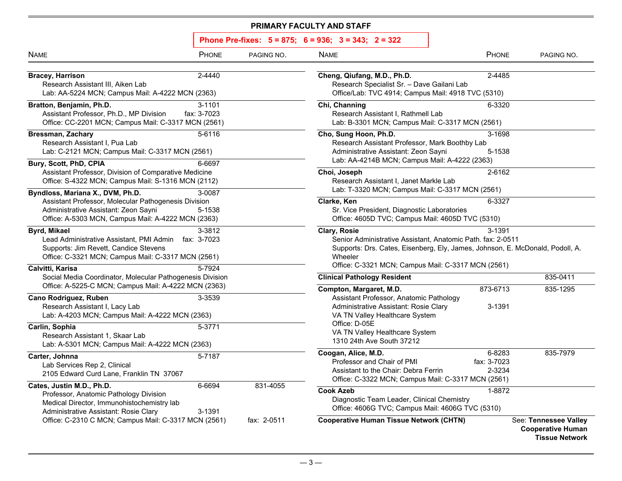| <b>NAME</b>                                                                                                                                                                                                                                                                | PHONE                 | PAGING NO.                                                                                                                                                                                                                    | <b>NAME</b>                                                                                                                                                                                                                   | PHONE                           | PAGING NO.                                                                 |
|----------------------------------------------------------------------------------------------------------------------------------------------------------------------------------------------------------------------------------------------------------------------------|-----------------------|-------------------------------------------------------------------------------------------------------------------------------------------------------------------------------------------------------------------------------|-------------------------------------------------------------------------------------------------------------------------------------------------------------------------------------------------------------------------------|---------------------------------|----------------------------------------------------------------------------|
| <b>Bracey, Harrison</b><br>Research Assistant III, Aiken Lab<br>Lab: AA-5224 MCN; Campus Mail: A-4222 MCN (2363)                                                                                                                                                           | 2-4440                |                                                                                                                                                                                                                               | Cheng, Qiufang, M.D., Ph.D.<br>Research Specialist Sr. - Dave Gailani Lab<br>Office/Lab: TVC 4914; Campus Mail: 4918 TVC (5310)                                                                                               | 2-4485                          |                                                                            |
| Bratton, Benjamin, Ph.D.<br>Assistant Professor, Ph.D., MP Division<br>Office: CC-2201 MCN; Campus Mail: C-3317 MCN (2561)                                                                                                                                                 | 3-1101<br>fax: 3-7023 |                                                                                                                                                                                                                               | Chi, Channing<br>Research Assistant I, Rathmell Lab<br>Lab: B-3301 MCN; Campus Mail: C-3317 MCN (2561)                                                                                                                        | 6-3320                          |                                                                            |
| <b>Bressman, Zachary</b><br>Research Assistant I, Pua Lab<br>Lab: C-2121 MCN; Campus Mail: C-3317 MCN (2561)                                                                                                                                                               | 5-6116                |                                                                                                                                                                                                                               | Cho, Sung Hoon, Ph.D.<br>Research Assistant Professor, Mark Boothby Lab<br>Administrative Assistant: Zeon Sayni<br>Lab: AA-4214B MCN; Campus Mail: A-4222 (2363)                                                              | 3-1698<br>5-1538                |                                                                            |
| Bury, Scott, PhD, CPIA<br>Assistant Professor, Division of Comparative Medicine<br>Office: S-4322 MCN; Campus Mail: S-1316 MCN (2112)                                                                                                                                      | 6-6697<br>3-0087      |                                                                                                                                                                                                                               | Choi, Joseph<br>Research Assistant I, Janet Markle Lab<br>Lab: T-3320 MCN; Campus Mail: C-3317 MCN (2561)                                                                                                                     | 2-6162                          |                                                                            |
| Byndloss, Mariana X., DVM, Ph.D.<br>Assistant Professor, Molecular Pathogenesis Division<br>Administrative Assistant: Zeon Sayni<br>Office: A-5303 MCN, Campus Mail: A-4222 MCN (2363)                                                                                     | 5-1538                |                                                                                                                                                                                                                               | Clarke, Ken<br>Sr. Vice President, Diagnostic Laboratories<br>Office: 4605D TVC; Campus Mail: 4605D TVC (5310)                                                                                                                | 6-3327                          |                                                                            |
| Byrd, Mikael<br>3-3812<br>Lead Administrative Assistant, PMI Admin fax: 3-7023<br>Supports: Jim Revett, Candice Stevens<br>Office: C-3321 MCN; Campus Mail: C-3317 MCN (2561)                                                                                              |                       | Clary, Rosie<br>Senior Administrative Assistant, Anatomic Path. fax: 2-0511<br>Supports: Drs. Cates, Eisenberg, Ely, James, Johnson, E. McDonald, Podoll, A.<br>Wheeler<br>Office: C-3321 MCN; Campus Mail: C-3317 MCN (2561) | 3-1391                                                                                                                                                                                                                        |                                 |                                                                            |
| Calvitti, Karisa<br>Social Media Coordinator, Molecular Pathogenesis Division                                                                                                                                                                                              | 5-7924                |                                                                                                                                                                                                                               | <b>Clinical Pathology Resident</b>                                                                                                                                                                                            |                                 | 835-0411                                                                   |
| Office: A-5225-C MCN; Campus Mail: A-4222 MCN (2363)<br>Cano Rodriguez, Ruben<br>Research Assistant I, Lacy Lab<br>Lab: A-4203 MCN; Campus Mail: A-4222 MCN (2363)<br>Carlin, Sophia<br>Research Assistant 1, Skaar Lab<br>Lab: A-5301 MCN; Campus Mail: A-4222 MCN (2363) | 3-3539<br>5-3771      |                                                                                                                                                                                                                               | Compton, Margaret, M.D.<br>Assistant Professor, Anatomic Pathology<br>Administrative Assistant: Rosie Clary<br>VA TN Valley Healthcare System<br>Office: D-05E<br>VA TN Valley Healthcare System<br>1310 24th Ave South 37212 | 873-6713<br>3-1391              | 835-1295                                                                   |
| Carter, Johnna<br>Lab Services Rep 2, Clinical<br>2105 Edward Curd Lane, Franklin TN 37067                                                                                                                                                                                 | 5-7187                |                                                                                                                                                                                                                               | Coogan, Alice, M.D.<br>Professor and Chair of PMI<br>Assistant to the Chair: Debra Ferrin<br>Office: C-3322 MCN; Campus Mail: C-3317 MCN (2561)                                                                               | 6-8283<br>fax: 3-7023<br>2-3234 | 835-7979                                                                   |
| Cates, Justin M.D., Ph.D.<br>Professor, Anatomic Pathology Division<br>Medical Director, Immunohistochemistry lab<br>Administrative Assistant: Rosie Clary                                                                                                                 | 6-6694<br>3-1391      | 831-4055                                                                                                                                                                                                                      | <b>Cook Azeb</b><br>Diagnostic Team Leader, Clinical Chemistry<br>Office: 4606G TVC; Campus Mail: 4606G TVC (5310)                                                                                                            | 1-8872                          |                                                                            |
| Office: C-2310 C MCN; Campus Mail: C-3317 MCN (2561)                                                                                                                                                                                                                       |                       | fax: 2-0511                                                                                                                                                                                                                   | <b>Cooperative Human Tissue Network (CHTN)</b>                                                                                                                                                                                |                                 | See: Tennessee Valley<br><b>Cooperative Human</b><br><b>Tissue Network</b> |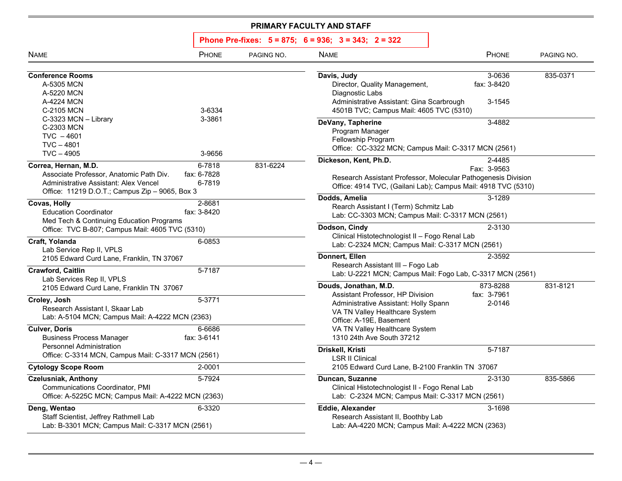| <b>NAME</b>                                                                                                                                                                                               | PHONE                           | PAGING NO.                                                                                                                    | <b>NAME</b>                                                                                                                                                                                                                    | PHONE                             | PAGING NO. |
|-----------------------------------------------------------------------------------------------------------------------------------------------------------------------------------------------------------|---------------------------------|-------------------------------------------------------------------------------------------------------------------------------|--------------------------------------------------------------------------------------------------------------------------------------------------------------------------------------------------------------------------------|-----------------------------------|------------|
| <b>Conference Rooms</b><br>A-5305 MCN<br>A-5220 MCN<br>A-4224 MCN<br>C-2105 MCN                                                                                                                           | 3-6334                          |                                                                                                                               | Davis, Judy<br>Director, Quality Management,<br>Diagnostic Labs<br>Administrative Assistant: Gina Scarbrough<br>4501B TVC; Campus Mail: 4605 TVC (5310)                                                                        | 3-0636<br>fax: 3-8420<br>3-1545   | 835-0371   |
| C-3323 MCN - Library<br>C-2303 MCN<br>$TVC - 4601$<br>$TVC - 4801$<br>$TVC - 4905$                                                                                                                        | 3-3861<br>3-9656                |                                                                                                                               | DeVany, Tapherine<br>Program Manager<br>Fellowship Program<br>Office: CC-3322 MCN; Campus Mail: C-3317 MCN (2561)                                                                                                              | 3-4882                            |            |
| Correa, Hernan, M.D.<br>Associate Professor, Anatomic Path Div.<br>Administrative Assistant: Alex Vencel<br>Office: 11219 D.O.T.; Campus Zip - 9065, Box 3                                                | 6-7818<br>fax: 6-7828<br>6-7819 | 831-6224                                                                                                                      | Dickeson, Kent, Ph.D.<br>Research Assistant Professor, Molecular Pathogenesis Division<br>Office: 4914 TVC, (Gailani Lab); Campus Mail: 4918 TVC (5310)                                                                        | 2-4485<br>Fax: 3-9563             |            |
| Covas, Holly<br><b>Education Coordinator</b><br>Med Tech & Continuing Education Programs                                                                                                                  | 2-8681<br>fax: 3-8420           |                                                                                                                               | Dodds, Amelia<br>Rearch Assistant I (Term) Schmitz Lab<br>Lab: CC-3303 MCN; Campus Mail: C-3317 MCN (2561)<br>Dodson, Cindy                                                                                                    | 3-1289<br>2-3130                  |            |
| Office: TVC B-807; Campus Mail: 4605 TVC (5310)<br>Craft, Yolanda<br>6-0853<br>Lab Service Rep II, VPLS                                                                                                   |                                 | Clinical Histotechnologist II - Fogo Renal Lab<br>Lab: C-2324 MCN; Campus Mail: C-3317 MCN (2561)<br>Donnert, Ellen<br>2-3592 |                                                                                                                                                                                                                                |                                   |            |
| 2105 Edward Curd Lane, Franklin, TN 37067<br>Crawford, Caitlin<br>Lab Services Rep II, VPLS                                                                                                               | 5-7187                          |                                                                                                                               | Research Assistant III - Fogo Lab<br>Lab: U-2221 MCN; Campus Mail: Fogo Lab, C-3317 MCN (2561)                                                                                                                                 |                                   |            |
| 2105 Edward Curd Lane, Franklin TN 37067<br>Croley, Josh<br>Research Assistant I, Skaar Lab<br>Lab: A-5104 MCN; Campus Mail: A-4222 MCN (2363)<br><b>Culver, Doris</b><br><b>Business Process Manager</b> | 5-3771<br>6-6686<br>fax: 3-6141 |                                                                                                                               | Douds, Jonathan, M.D.<br>Assistant Professor, HP Division<br>Administrative Assistant: Holly Spann<br>VA TN Valley Healthcare System<br>Office: A-19E, Basement<br>VA TN Valley Healthcare System<br>1310 24th Ave South 37212 | 873-8288<br>fax: 3-7961<br>2-0146 | 831-8121   |
| <b>Personnel Administration</b><br>Office: C-3314 MCN, Campus Mail: C-3317 MCN (2561)                                                                                                                     |                                 |                                                                                                                               | Driskell, Kristi<br><b>LSR II Clinical</b>                                                                                                                                                                                     | 5-7187                            |            |
| <b>Cytology Scope Room</b><br><b>Czelusniak, Anthony</b><br>Communications Coordinator, PMI<br>Office: A-5225C MCN; Campus Mail: A-4222 MCN (2363)                                                        | 2-0001<br>5-7924                |                                                                                                                               | 2105 Edward Curd Lane, B-2100 Franklin TN 37067<br>Duncan, Suzanne<br>Clinical Histotechnologist II - Fogo Renal Lab<br>Lab: C-2324 MCN; Campus Mail: C-3317 MCN (2561)                                                        | 2-3130                            | 835-5866   |
| Deng, Wentao<br>Staff Scientist, Jeffrey Rathmell Lab<br>Lab: B-3301 MCN; Campus Mail: C-3317 MCN (2561)                                                                                                  | 6-3320                          |                                                                                                                               | <b>Eddie, Alexander</b><br>Research Assistant II, Boothby Lab<br>Lab: AA-4220 MCN; Campus Mail: A-4222 MCN (2363)                                                                                                              | 3-1698                            |            |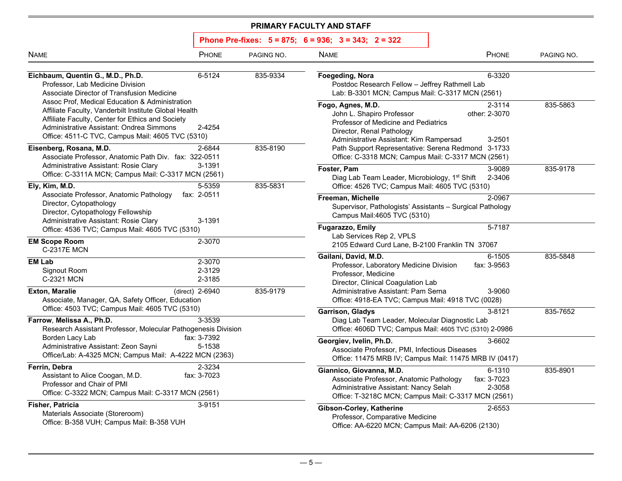| <b>NAME</b>                                                                                                                                                                                                                                                                                                                                                                                                                                                                                        | PHONE                      | PAGING NO. | <b>NAME</b>                                                                                                                                                         | PHONE                             | PAGING NO. |
|----------------------------------------------------------------------------------------------------------------------------------------------------------------------------------------------------------------------------------------------------------------------------------------------------------------------------------------------------------------------------------------------------------------------------------------------------------------------------------------------------|----------------------------|------------|---------------------------------------------------------------------------------------------------------------------------------------------------------------------|-----------------------------------|------------|
| Eichbaum, Quentin G., M.D., Ph.D.<br>6-5124<br>Professor, Lab Medicine Division<br>Associate Director of Transfusion Medicine<br>Assoc Prof, Medical Education & Administration<br>Affiliate Faculty, Vanderbilt Institute Global Health<br>Affiliate Faculty, Center for Ethics and Society<br>Administrative Assistant: Ondrea Simmons<br>2-4254<br>Office: 4511-C TVC, Campus Mail: 4605 TVC (5310)                                                                                             |                            | 835-9334   | Foegeding, Nora<br>Postdoc Research Fellow - Jeffrey Rathmell Lab<br>Lab: B-3301 MCN; Campus Mail: C-3317 MCN (2561)                                                | 6-3320                            |            |
|                                                                                                                                                                                                                                                                                                                                                                                                                                                                                                    |                            |            | Fogo, Agnes, M.D.<br>John L. Shapiro Professor<br>Professor of Medicine and Pediatrics<br>Director, Renal Pathology<br>Administrative Assistant: Kim Rampersad      | 2-3114<br>other: 2-3070<br>3-2501 | 835-5863   |
| 2-6844<br>Eisenberg, Rosana, M.D.<br>Associate Professor, Anatomic Path Div. fax: 322-0511<br>Administrative Assistant: Rosie Clary<br>3-1391<br>Office: C-3311A MCN; Campus Mail: C-3317 MCN (2561)<br>Ely, Kim, M.D.<br>5-5359<br>Associate Professor, Anatomic Pathology<br>fax: 2-0511<br>Director, Cytopathology<br>Director, Cytopathology Fellowship<br>Administrative Assistant: Rosie Clary<br>3-1391<br>Office: 4536 TVC; Campus Mail: 4605 TVC (5310)<br>2-3070<br><b>EM Scope Room</b> |                            | 835-8190   | Path Support Representative: Serena Redmond 3-1733<br>Office: C-3318 MCN; Campus Mail: C-3317 MCN (2561)                                                            |                                   |            |
|                                                                                                                                                                                                                                                                                                                                                                                                                                                                                                    |                            | 835-5831   | Foster, Pam<br>Diag Lab Team Leader, Microbiology, 1 <sup>st</sup> Shift<br>Office: 4526 TVC; Campus Mail: 4605 TVC (5310)                                          | 3-9089<br>2-3406                  | 835-9178   |
|                                                                                                                                                                                                                                                                                                                                                                                                                                                                                                    |                            |            | Freeman, Michelle<br>Supervisor, Pathologists' Assistants - Surgical Pathology<br>Campus Mail:4605 TVC (5310)                                                       | 2-0967                            |            |
|                                                                                                                                                                                                                                                                                                                                                                                                                                                                                                    |                            |            | Fugarazzo, Emily<br>Lab Services Rep 2, VPLS<br>2105 Edward Curd Lane, B-2100 Franklin TN 37067                                                                     | 5-7187                            |            |
| <b>C-2317E MCN</b><br><b>EM Lab</b><br>Signout Room<br>C-2321 MCN                                                                                                                                                                                                                                                                                                                                                                                                                                  | 2-3070<br>2-3129<br>2-3185 |            | Gailani, David, M.D.<br>Professor, Laboratory Medicine Division<br>Professor, Medicine<br>Director, Clinical Coagulation Lab                                        | 6-1505<br>fax: 3-9563             | 835-5848   |
| (direct) 2-6940<br><b>Exton, Maralie</b><br>Associate, Manager, QA, Safety Officer, Education                                                                                                                                                                                                                                                                                                                                                                                                      |                            | 835-9179   | Administrative Assistant: Pam Serna<br>Office: 4918-EA TVC; Campus Mail: 4918 TVC (0028)                                                                            | 3-9060                            |            |
| Office: 4503 TVC; Campus Mail: 4605 TVC (5310)<br>Farrow, Melissa A., Ph.D.<br>Research Assistant Professor, Molecular Pathogenesis Division                                                                                                                                                                                                                                                                                                                                                       | 3-3539                     |            | <b>Garrison, Gladys</b><br>Diag Lab Team Leader, Molecular Diagnostic Lab<br>Office: 4606D TVC; Campus Mail: 4605 TVC (5310) 2-0986                                 | 3-8121                            | 835-7652   |
| Borden Lacy Lab<br>fax: 3-7392<br>Administrative Assistant: Zeon Sayni<br>5-1538<br>Office/Lab: A-4325 MCN; Campus Mail: A-4222 MCN (2363)                                                                                                                                                                                                                                                                                                                                                         |                            |            | Georgiev, Ivelin, Ph.D.<br>Associate Professor, PMI, Infectious Diseases<br>Office: 11475 MRB IV; Campus Mail: 11475 MRB IV (0417)                                  | 3-6602                            |            |
| Ferrin, Debra<br>Assistant to Alice Coogan, M.D.<br>fax: 3-7023<br>Professor and Chair of PMI<br>Office: C-3322 MCN; Campus Mail: C-3317 MCN (2561)                                                                                                                                                                                                                                                                                                                                                | 2-3234                     |            | Giannico, Giovanna, M.D.<br>Associate Professor, Anatomic Pathology<br>Administrative Assistant: Nancy Selah<br>Office: T-3218C MCN; Campus Mail: C-3317 MCN (2561) | 6-1310<br>fax: 3-7023<br>2-3058   | 835-8901   |
| Fisher, Patricia<br>Materials Associate (Storeroom)<br>Office: B-358 VUH; Campus Mail: B-358 VUH                                                                                                                                                                                                                                                                                                                                                                                                   | 3-9151                     |            | Gibson-Corley, Katherine<br>Professor, Comparative Medicine<br>Office: AA-6220 MCN; Campus Mail: AA-6206 (2130)                                                     | 2-6553                            |            |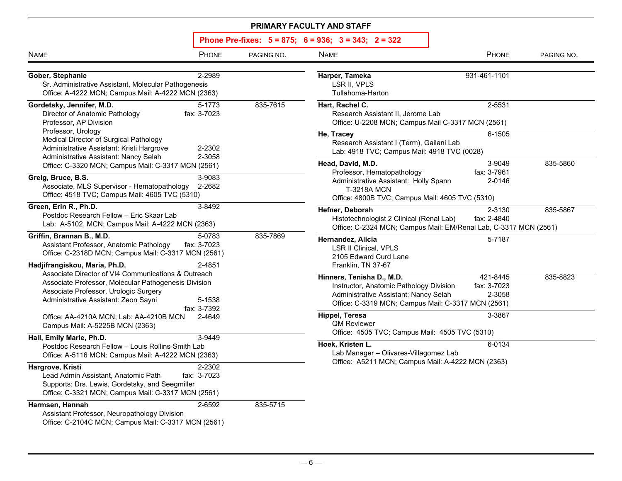| PHONE<br><b>NAME</b>                                                                                                                                                                                                                                                                                                                           | PAGING NO. | <b>NAME</b>                                                                                                                                                                               | PHONE                             | PAGING NO. |
|------------------------------------------------------------------------------------------------------------------------------------------------------------------------------------------------------------------------------------------------------------------------------------------------------------------------------------------------|------------|-------------------------------------------------------------------------------------------------------------------------------------------------------------------------------------------|-----------------------------------|------------|
| 2-2989<br>Gober, Stephanie<br>Sr. Administrative Assistant, Molecular Pathogenesis<br>Office: A-4222 MCN; Campus Mail: A-4222 MCN (2363)                                                                                                                                                                                                       |            | Harper, Tameka<br>LSR II, VPLS<br>Tullahoma-Harton                                                                                                                                        | 931-461-1101                      |            |
| Gordetsky, Jennifer, M.D.<br>5-1773<br>Director of Anatomic Pathology<br>fax: 3-7023<br>Professor, AP Division<br>Professor, Urology<br>Medical Director of Surgical Pathology<br>Administrative Assistant: Kristi Hargrove<br>2-2302<br>2-3058<br>Administrative Assistant: Nancy Selah<br>Office: C-3320 MCN; Campus Mail: C-3317 MCN (2561) | 835-7615   | Hart, Rachel C.<br>Research Assistant II, Jerome Lab<br>Office: U-2208 MCN; Campus Mail C-3317 MCN (2561)<br>He, Tracey                                                                   | 2-5531<br>6-1505                  |            |
|                                                                                                                                                                                                                                                                                                                                                |            | Research Assistant I (Term), Gailani Lab<br>Lab: 4918 TVC; Campus Mail: 4918 TVC (0028)<br>Head, David, M.D.                                                                              | 3-9049                            | 835-5860   |
| 3-9083<br>Greig, Bruce, B.S.<br>Associate, MLS Supervisor - Hematopathology<br>2-2682<br>Office: 4518 TVC; Campus Mail: 4605 TVC (5310)                                                                                                                                                                                                        |            | Professor, Hematopathology<br>Administrative Assistant: Holly Spann<br><b>T-3218A MCN</b><br>Office: 4800B TVC; Campus Mail: 4605 TVC (5310)                                              | fax: 3-7961<br>2-0146             |            |
| Green, Erin R., Ph.D.<br>3-8492<br>Postdoc Research Fellow - Eric Skaar Lab<br>Lab: A-5102, MCN; Campus Mail: A-4222 MCN (2363)                                                                                                                                                                                                                |            | Hefner, Deborah<br>Histotechnologist 2 Clinical (Renal Lab)<br>Office: C-2324 MCN; Campus Mail: EM/Renal Lab, C-3317 MCN (2561)                                                           | 2-3130<br>fax: 2-4840             | 835-5867   |
| 5-0783<br>Griffin, Brannan B., M.D.<br>fax: 3-7023<br>Assistant Professor, Anatomic Pathology<br>Office: C-2318D MCN; Campus Mail: C-3317 MCN (2561)                                                                                                                                                                                           | 835-7869   | Hernandez, Alicia<br><b>LSR II Clinical, VPLS</b><br>2105 Edward Curd Lane                                                                                                                | 5-7187                            |            |
| Hadjifrangiskou, Maria, Ph.D.<br>2-4851<br>Associate Director of VI4 Communications & Outreach<br>Associate Professor, Molecular Pathogenesis Division<br>Associate Professor, Urologic Surgery<br>Administrative Assistant: Zeon Sayni<br>5-1538<br>fax: 3-7392                                                                               |            | Franklin, TN 37-67<br>Hinners, Tenisha D., M.D.<br>Instructor, Anatomic Pathology Division<br>Administrative Assistant: Nancy Selah<br>Office: C-3319 MCN; Campus Mail: C-3317 MCN (2561) | 421-8445<br>fax: 3-7023<br>2-3058 | 835-8823   |
| Office: AA-4210A MCN; Lab: AA-4210B MCN<br>2-4649<br>Campus Mail: A-5225B MCN (2363)                                                                                                                                                                                                                                                           |            | Hippel, Teresa<br><b>QM Reviewer</b><br>Office: 4505 TVC; Campus Mail: 4505 TVC (5310)                                                                                                    | 3-3867                            |            |
| 3-9449<br>Hall, Emily Marie, Ph.D.<br>Postdoc Research Fellow - Louis Rollins-Smith Lab<br>Office: A-5116 MCN: Campus Mail: A-4222 MCN (2363)                                                                                                                                                                                                  |            | Hoek, Kristen L.<br>Lab Manager - Olivares-Villagomez Lab                                                                                                                                 | 6-0134                            |            |
| Hargrove, Kristi<br>2-2302<br>Lead Admin Assistant, Anatomic Path<br>fax: 3-7023<br>Supports: Drs. Lewis, Gordetsky, and Seegmiller<br>Office: C-3321 MCN; Campus Mail: C-3317 MCN (2561)                                                                                                                                                      |            | Office: A5211 MCN; Campus Mail: A-4222 MCN (2363)                                                                                                                                         |                                   |            |
| Harmsen, Hannah<br>2-6592<br>Assistant Professor, Neuropathology Division<br>Office: C-2104C MCN; Campus Mail: C-3317 MCN (2561)                                                                                                                                                                                                               | 835-5715   |                                                                                                                                                                                           |                                   |            |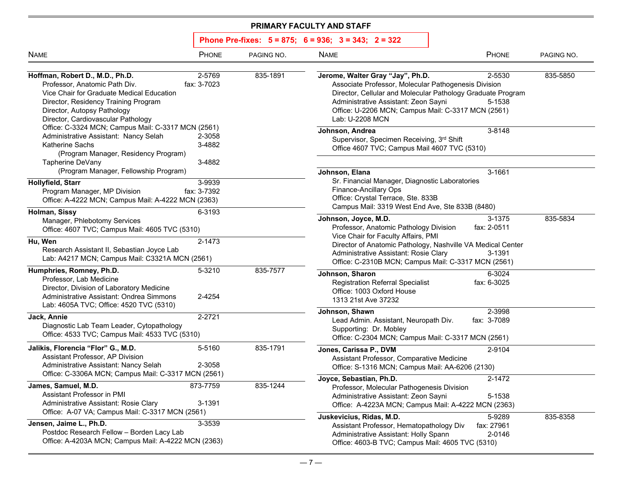| <b>NAME</b>                                                                                                                                                                                                                                                     | PHONE                      | PAGING NO. | <b>NAME</b>                                                                                                                                                                                                                                                              | PHONE                           | PAGING NO. |
|-----------------------------------------------------------------------------------------------------------------------------------------------------------------------------------------------------------------------------------------------------------------|----------------------------|------------|--------------------------------------------------------------------------------------------------------------------------------------------------------------------------------------------------------------------------------------------------------------------------|---------------------------------|------------|
| 2-5769<br>835-1891<br>Hoffman, Robert D., M.D., Ph.D.<br>Professor, Anatomic Path Div.<br>fax: 3-7023<br>Vice Chair for Graduate Medical Education<br>Director, Residency Training Program<br>Director, Autopsy Pathology<br>Director, Cardiovascular Pathology |                            |            | Jerome, Walter Gray "Jay", Ph.D.<br>Associate Professor, Molecular Pathogenesis Division<br>Director, Cellular and Molecular Pathology Graduate Program<br>Administrative Assistant: Zeon Sayni<br>Office: U-2206 MCN; Campus Mail: C-3317 MCN (2561)<br>Lab: U-2208 MCN | 835-5850                        |            |
| Office: C-3324 MCN; Campus Mail: C-3317 MCN (2561)<br>Administrative Assistant: Nancy Selah<br><b>Katherine Sachs</b><br>(Program Manager, Residency Program)<br>Tapherine DeVany                                                                               | 2-3058<br>3-4882<br>3-4882 |            | Johnson, Andrea<br>Supervisor, Specimen Receiving, 3rd Shift<br>Office 4607 TVC; Campus Mail 4607 TVC (5310)                                                                                                                                                             | 3-8148                          |            |
| (Program Manager, Fellowship Program)<br>Hollyfield, Starr<br>Program Manager, MP Division<br>Office: A-4222 MCN; Campus Mail: A-4222 MCN (2363)                                                                                                                | 3-9939<br>fax: 3-7392      |            | Johnson, Elana<br>Sr. Financial Manager, Diagnostic Laboratories<br><b>Finance-Ancillary Ops</b><br>Office: Crystal Terrace, Ste. 833B<br>Campus Mail: 3319 West End Ave, Ste 833B (8480)                                                                                | 3-1661                          |            |
| Holman, Sissy<br>Manager, Phlebotomy Services<br>Office: 4607 TVC; Campus Mail: 4605 TVC (5310)<br>Hu, Wen<br>Research Assistant II, Sebastian Joyce Lab<br>Lab: A4217 MCN; Campus Mail: C3321A MCN (2561)                                                      | 6-3193<br>2-1473           |            | Johnson, Joyce, M.D.<br>Professor, Anatomic Pathology Division<br>Vice Chair for Faculty Affairs, PMI<br>Director of Anatomic Pathology, Nashville VA Medical Center<br>Administrative Assistant: Rosie Clary                                                            | 3-1375<br>fax: 2-0511<br>3-1391 | 835-5834   |
| Humphries, Romney, Ph.D.<br>Professor, Lab Medicine<br>Director, Division of Laboratory Medicine<br>Administrative Assistant: Ondrea Simmons<br>Lab: 4605A TVC; Office: 4520 TVC (5310)                                                                         | 5-3210<br>2-4254           | 835-7577   | Office: C-2310B MCN; Campus Mail: C-3317 MCN (2561)<br>Johnson, Sharon<br><b>Registration Referral Specialist</b><br>Office: 1003 Oxford House<br>1313 21st Ave 37232                                                                                                    | 6-3024<br>fax: 6-3025           |            |
| Jack, Annie<br>Diagnostic Lab Team Leader, Cytopathology<br>Office: 4533 TVC; Campus Mail: 4533 TVC (5310)                                                                                                                                                      | 2-2721                     |            | Johnson, Shawn<br>Lead Admin. Assistant, Neuropath Div.<br>Supporting: Dr. Mobley<br>Office: C-2304 MCN; Campus Mail: C-3317 MCN (2561)                                                                                                                                  | 2-3998<br>fax: 3-7089           |            |
| Jalikis, Florencia "Flor" G., M.D.<br>Assistant Professor, AP Division<br>Administrative Assistant: Nancy Selah<br>Office: C-3306A MCN; Campus Mail: C-3317 MCN (2561)                                                                                          | 5-5160<br>2-3058           | 835-1791   | Jones, Carissa P., DVM<br>Assistant Professor, Comparative Medicine<br>Office: S-1316 MCN; Campus Mail: AA-6206 (2130)                                                                                                                                                   | 2-9104                          |            |
| James, Samuel, M.D.<br>Assistant Professor in PMI<br>Administrative Assistant: Rosie Clary                                                                                                                                                                      | 873-7759<br>3-1391         | 835-1244   | Joyce, Sebastian, Ph.D.<br>Professor, Molecular Pathogenesis Division<br>Administrative Assistant: Zeon Sayni<br>Office: A-4223A MCN; Campus Mail: A-4222 MCN (2363)                                                                                                     | 2-1472<br>5-1538                |            |
| Office: A-07 VA; Campus Mail: C-3317 MCN (2561)<br>Jensen, Jaime L., Ph.D.<br>Postdoc Research Fellow - Borden Lacy Lab<br>Office: A-4203A MCN; Campus Mail: A-4222 MCN (2363)                                                                                  | 3-3539                     |            | Juskevicius, Ridas, M.D.<br>Assistant Professor, Hematopathology Div<br>Administrative Assistant: Holly Spann<br>Office: 4603-B TVC; Campus Mail: 4605 TVC (5310)                                                                                                        | 5-9289<br>fax: 27961<br>2-0146  | 835-8358   |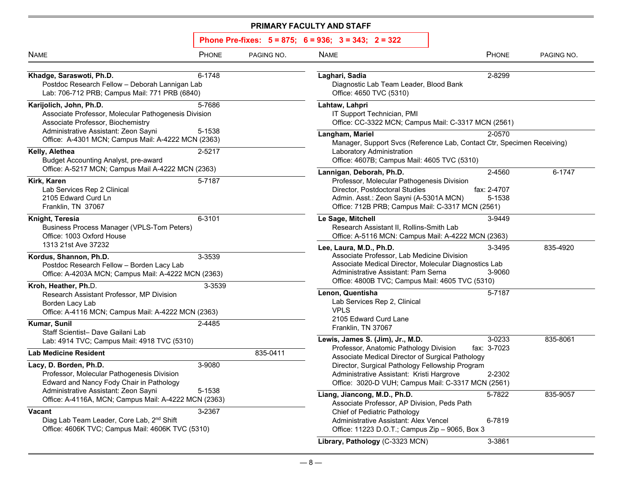| <b>NAME</b>                                                                                                                                                  | PHONE            | PAGING NO. | <b>NAME</b>                                                                                                                                                                                                              | PHONE                 | PAGING NO. |  |
|--------------------------------------------------------------------------------------------------------------------------------------------------------------|------------------|------------|--------------------------------------------------------------------------------------------------------------------------------------------------------------------------------------------------------------------------|-----------------------|------------|--|
| Khadge, Saraswoti, Ph.D.<br>Postdoc Research Fellow - Deborah Lannigan Lab<br>Lab: 706-712 PRB; Campus Mail: 771 PRB (6840)                                  | 6-1748           |            | Laghari, Sadia<br>Diagnostic Lab Team Leader, Blood Bank<br>Office: 4650 TVC (5310)                                                                                                                                      | 2-8299                |            |  |
| Karijolich, John, Ph.D.<br>Associate Professor, Molecular Pathogenesis Division<br>Associate Professor, Biochemistry<br>Administrative Assistant: Zeon Sayni | 5-7686<br>5-1538 |            | Lahtaw, Lahpri<br>IT Support Technician, PMI<br>Office: CC-3322 MCN; Campus Mail: C-3317 MCN (2561)                                                                                                                      |                       |            |  |
| Office: A-4301 MCN; Campus Mail: A-4222 MCN (2363)<br>Kelly, Alethea                                                                                         | 2-5217           |            | Langham, Mariel<br>2-0570<br>Manager, Support Svcs (Reference Lab, Contact Ctr, Specimen Receiving)<br>Laboratory Administration                                                                                         |                       |            |  |
| Budget Accounting Analyst, pre-award<br>Office: A-5217 MCN; Campus Mail A-4222 MCN (2363)                                                                    |                  |            | Office: 4607B; Campus Mail: 4605 TVC (5310)<br>Lannigan, Deborah, Ph.D.                                                                                                                                                  | 2-4560                | 6-1747     |  |
| Kirk, Karen<br>Lab Services Rep 2 Clinical<br>2105 Edward Curd Ln<br>Franklin, TN 37067                                                                      | 5-7187           |            | Professor, Molecular Pathogenesis Division<br>Director, Postdoctoral Studies<br>Admin. Asst.: Zeon Sayni (A-5301A MCN)<br>Office: 712B PRB; Campus Mail: C-3317 MCN (2561)                                               | fax: 2-4707<br>5-1538 |            |  |
| Knight, Teresia<br><b>Business Process Manager (VPLS-Tom Peters)</b><br>Office: 1003 Oxford House                                                            | 6-3101           |            | Le Sage, Mitchell<br>Research Assistant II, Rollins-Smith Lab<br>Office: A-5116 MCN: Campus Mail: A-4222 MCN (2363)                                                                                                      | 3-9449                |            |  |
| 1313 21st Ave 37232<br>Kordus, Shannon, Ph.D.<br>Postdoc Research Fellow - Borden Lacy Lab<br>Office: A-4203A MCN; Campus Mail: A-4222 MCN (2363)            | 3-3539           |            | Lee, Laura, M.D., Ph.D.<br>Associate Professor, Lab Medicine Division<br>Associate Medical Director, Molecular Diagnostics Lab<br>Administrative Assistant: Pam Serna<br>Office: 4800B TVC; Campus Mail: 4605 TVC (5310) | 3-3495<br>3-9060      | 835-4920   |  |
| Kroh, Heather, Ph.D.<br>Research Assistant Professor, MP Division<br>Borden Lacy Lab<br>Office: A-4116 MCN; Campus Mail: A-4222 MCN (2363)                   | 3-3539           |            | Lenon, Quentisha<br>Lab Services Rep 2, Clinical<br><b>VPLS</b><br>2105 Edward Curd Lane                                                                                                                                 | 5-7187                |            |  |
| Kumar, Sunil<br>Staff Scientist- Dave Gailani Lab<br>Lab: 4914 TVC; Campus Mail: 4918 TVC (5310)                                                             | 2-4485           |            | Franklin, TN 37067<br>Lewis, James S. (Jim), Jr., M.D.                                                                                                                                                                   | 3-0233                | 835-8061   |  |
| <b>Lab Medicine Resident</b>                                                                                                                                 |                  | 835-0411   | Professor, Anatomic Pathology Division<br>Associate Medical Director of Surgical Pathology                                                                                                                               | fax: 3-7023           |            |  |
| Lacy, D. Borden, Ph.D.<br>Professor, Molecular Pathogenesis Division<br>Edward and Nancy Fody Chair in Pathology                                             | 3-9080           |            | Director, Surgical Pathology Fellowship Program<br>Administrative Assistant: Kristi Hargrove<br>Office: 3020-D VUH; Campus Mail: C-3317 MCN (2561)                                                                       | 2-2302                |            |  |
| Administrative Assistant: Zeon Sayni<br>5-1538<br>Office: A-4116A, MCN; Campus Mail: A-4222 MCN (2363)                                                       |                  |            | Liang, Jiancong, M.D., Ph.D.<br>Associate Professor, AP Division, Peds Path                                                                                                                                              | 5-7822                | 835-9057   |  |
| Vacant<br>3-2367<br>Diag Lab Team Leader, Core Lab, 2 <sup>nd</sup> Shift<br>Office: 4606K TVC; Campus Mail: 4606K TVC (5310)                                |                  |            | Chief of Pediatric Pathology<br>Administrative Assistant: Alex Vencel<br>Office: 11223 D.O.T.; Campus Zip - 9065, Box 3                                                                                                  | 6-7819                |            |  |
|                                                                                                                                                              |                  |            | Library, Pathology (C-3323 MCN)                                                                                                                                                                                          | 3-3861                |            |  |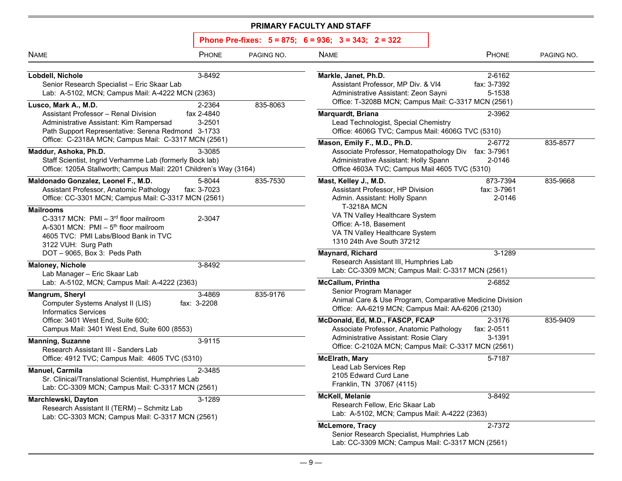| Phone Pre-fixes: $5 = 875$ ; $6 = 936$ ; $3 = 343$ ; $2 = 322$ |  |  |  |
|----------------------------------------------------------------|--|--|--|
|----------------------------------------------------------------|--|--|--|

| <b>NAME</b>                                                                                                                                                                                                                           | PHONE                                    | PAGING NO. | <b>NAME</b>                                                                                                                                                                                                            | PHONE                                     | PAGING NO. |
|---------------------------------------------------------------------------------------------------------------------------------------------------------------------------------------------------------------------------------------|------------------------------------------|------------|------------------------------------------------------------------------------------------------------------------------------------------------------------------------------------------------------------------------|-------------------------------------------|------------|
| Lobdell, Nichole<br>Senior Research Specialist - Eric Skaar Lab<br>Lab: A-5102, MCN; Campus Mail: A-4222 MCN (2363)<br>Lusco, Mark A., M.D.<br><b>Assistant Professor - Renal Division</b><br>Administrative Assistant: Kim Rampersad | 3-8492<br>2-2364<br>fax 2-4840<br>3-2501 | 835-8063   | Markle, Janet, Ph.D.<br>Assistant Professor, MP Div. & VI4<br>Administrative Assistant: Zeon Sayni<br>Office: T-3208B MCN; Campus Mail: C-3317 MCN (2561)<br>Marquardt, Briana<br>Lead Technologist, Special Chemistry | 2-6162<br>fax: 3-7392<br>5-1538<br>2-3962 |            |
| Path Support Representative: Serena Redmond 3-1733<br>Office: C-2318A MCN; Campus Mail: C-3317 MCN (2561)                                                                                                                             |                                          |            | Office: 4606G TVC; Campus Mail: 4606G TVC (5310)<br>Mason, Emily F., M.D., Ph.D.                                                                                                                                       | 2-6772                                    | 835-8577   |
| Maddur, Ashoka, Ph.D.<br>Staff Scientist, Ingrid Verhamme Lab (formerly Bock lab)<br>Office: 1205A Stallworth; Campus Mail: 2201 Children's Way (3164)                                                                                | 3-3085                                   |            | Associate Professor, Hematopathology Div fax: 3-7961<br>Administrative Assistant: Holly Spann<br>Office 4603A TVC; Campus Mail 4605 TVC (5310)                                                                         | 2-0146                                    |            |
| Maldonado Gonzalez, Leonel F., M.D.<br>Assistant Professor, Anatomic Pathology<br>Office: CC-3301 MCN; Campus Mail: C-3317 MCN (2561)                                                                                                 | 5-8044<br>fax: 3-7023                    | 835-7530   | Mast, Kelley J., M.D.<br>Assistant Professor, HP Division<br>Admin. Assistant: Holly Spann                                                                                                                             | 873-7394<br>fax: 3-7961<br>2-0146         | 835-9668   |
| <b>Mailrooms</b><br>C-3317 MCN: $PMI - 3^{rd}$ floor mailroom<br>A-5301 MCN: PMI - 5 <sup>th</sup> floor mailroom<br>4605 TVC: PMI Labs/Blood Bank in TVC<br>3122 VUH: Surg Path                                                      | 2-3047                                   |            | <b>T-3218A MCN</b><br>VA TN Valley Healthcare System<br>Office: A-18, Basement<br>VA TN Valley Healthcare System<br>1310 24th Ave South 37212                                                                          |                                           |            |
| DOT-9065, Box 3: Peds Path<br><b>Maloney, Nichole</b>                                                                                                                                                                                 | 3-8492                                   |            | Maynard, Richard<br>Research Assistant III, Humphries Lab                                                                                                                                                              | 3-1289                                    |            |
| Lab Manager - Eric Skaar Lab<br>Lab: A-5102, MCN; Campus Mail: A-4222 (2363)                                                                                                                                                          |                                          |            | Lab: CC-3309 MCN; Campus Mail: C-3317 MCN (2561)<br><b>McCallum, Printha</b>                                                                                                                                           | 2-6852                                    |            |
| Mangrum, Sheryl<br>Computer Systems Analyst II (LIS)<br><b>Informatics Services</b>                                                                                                                                                   | 3-4869<br>fax: 3-2208                    | 835-9176   | Senior Program Manager<br>Animal Care & Use Program, Comparative Medicine Division<br>Office: AA-6219 MCN; Campus Mail: AA-6206 (2130)                                                                                 |                                           |            |
| Office: 3401 West End, Suite 600;<br>Campus Mail: 3401 West End, Suite 600 (8553)                                                                                                                                                     |                                          |            | McDonald, Ed, M.D., FASCP, FCAP<br>Associate Professor, Anatomic Pathology<br>Administrative Assistant: Rosie Clary                                                                                                    | 2-3176<br>fax: 2-0511<br>3-1391           | 835-9409   |
| <b>Manning, Suzanne</b><br>Research Assistant III - Sanders Lab                                                                                                                                                                       | 3-9115                                   |            | Office: C-2102A MCN; Campus Mail: C-3317 MCN (2561)                                                                                                                                                                    |                                           |            |
| Office: 4912 TVC; Campus Mail: 4605 TVC (5310)<br>Manuel, Carmila<br>Sr. Clinical/Translational Scientist, Humphries Lab<br>Lab: CC-3309 MCN; Campus Mail: C-3317 MCN (2561)                                                          | 2-3485                                   |            | <b>McElrath, Mary</b><br>Lead Lab Services Rep<br>2105 Edward Curd Lane<br>Franklin, TN 37067 (4115)                                                                                                                   | 5-7187                                    |            |
| Marchlewski, Dayton<br>Research Assistant II (TERM) - Schmitz Lab<br>Lab: CC-3303 MCN; Campus Mail: C-3317 MCN (2561)                                                                                                                 | 3-1289                                   |            | McKell, Melanie<br>Research Fellow, Eric Skaar Lab<br>Lab: A-5102, MCN; Campus Mail: A-4222 (2363)                                                                                                                     | 3-8492                                    |            |
|                                                                                                                                                                                                                                       |                                          |            | <b>McLemore, Tracy</b><br>Senior Research Specialist, Humphries Lab<br>Lab: CC-3309 MCN; Campus Mail: C-3317 MCN (2561)                                                                                                | 2-7372                                    |            |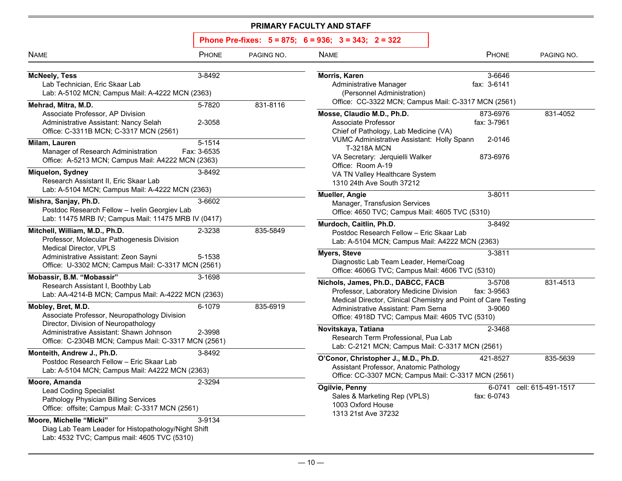| <b>NAME</b>                                                                                                                               | PHONE                 | PAGING NO. | <b>NAME</b>                                                                                                                                                                               | PHONE                 | PAGING NO.         |
|-------------------------------------------------------------------------------------------------------------------------------------------|-----------------------|------------|-------------------------------------------------------------------------------------------------------------------------------------------------------------------------------------------|-----------------------|--------------------|
| <b>McNeely, Tess</b><br>Lab Technician, Eric Skaar Lab<br>Lab: A-5102 MCN; Campus Mail: A-4222 MCN (2363)                                 | 3-8492                |            | Morris, Karen<br>Administrative Manager<br>(Personnel Administration)                                                                                                                     | 3-6646<br>fax: 3-6141 |                    |
| Mehrad, Mitra, M.D.<br>Associate Professor, AP Division                                                                                   | 5-7820                | 831-8116   | Office: CC-3322 MCN; Campus Mail: C-3317 MCN (2561)<br>Mosse, Claudio M.D., Ph.D.                                                                                                         | 873-6976              | 831-4052           |
| Administrative Assistant: Nancy Selah<br>Office: C-3311B MCN; C-3317 MCN (2561)                                                           | 2-3058                |            | Associate Professor<br>Chief of Pathology, Lab Medicine (VA)                                                                                                                              | fax: 3-7961           |                    |
| Milam, Lauren<br>Manager of Research Administration                                                                                       | 5-1514<br>Fax: 3-6535 |            | <b>VUMC Administrative Assistant: Holly Spann</b><br><b>T-3218A MCN</b>                                                                                                                   | 2-0146                |                    |
| Office: A-5213 MCN; Campus Mail: A4222 MCN (2363)                                                                                         |                       |            | VA Secretary: Jerquielli Walker<br>Office: Room A-19                                                                                                                                      | 873-6976              |                    |
| Miquelon, Sydney<br>Research Assistant II, Eric Skaar Lab<br>Lab: A-5104 MCN; Campus Mail: A-4222 MCN (2363)                              | 3-8492                |            | VA TN Valley Healthcare System<br>1310 24th Ave South 37212                                                                                                                               |                       |                    |
| Mishra, Sanjay, Ph.D.<br>Postdoc Research Fellow - Ivelin Georgiev Lab<br>Lab: 11475 MRB IV; Campus Mail: 11475 MRB IV (0417)             | 3-6602                |            | <b>Mueller, Angie</b><br>Manager, Transfusion Services<br>Office: 4650 TVC; Campus Mail: 4605 TVC (5310)                                                                                  | 3-8011                |                    |
| Mitchell, William, M.D., Ph.D.<br>Professor, Molecular Pathogenesis Division                                                              | 2-3238                | 835-5849   | Murdoch, Caitlin, Ph.D.<br>3-8492<br>Postdoc Research Fellow - Eric Skaar Lab<br>Lab: A-5104 MCN; Campus Mail: A4222 MCN (2363)                                                           |                       |                    |
| <b>Medical Director, VPLS</b><br>Administrative Assistant: Zeon Sayni<br>Office: U-3302 MCN; Campus Mail: C-3317 MCN (2561)               | 5-1538                |            | <b>Myers, Steve</b><br>Diagnostic Lab Team Leader, Heme/Coag<br>Office: 4606G TVC; Campus Mail: 4606 TVC (5310)                                                                           | 3-3811                |                    |
| Mobassir, B.M. "Mobassir"<br>Research Assistant I, Boothby Lab<br>Lab: AA-4214-B MCN; Campus Mail: A-4222 MCN (2363)                      | 3-1698                |            | Nichols, James, Ph.D., DABCC, FACB<br>Professor, Laboratory Medicine Division                                                                                                             | 3-5708<br>fax: 3-9563 | 831-4513           |
| Mobley, Bret, M.D.<br>Associate Professor, Neuropathology Division                                                                        | 6-1079                | 835-6919   | Medical Director, Clinical Chemistry and Point of Care Testing<br>Administrative Assistant: Pam Serna<br>Office: 4918D TVC; Campus Mail: 4605 TVC (5310)                                  |                       |                    |
| Director, Division of Neuropathology<br>Administrative Assistant: Shawn Johnson<br>Office: C-2304B MCN; Campus Mail: C-3317 MCN (2561)    | 2-3998                |            | Novitskaya, Tatiana<br>Research Term Professional, Pua Lab                                                                                                                                | 2-3468                |                    |
| Monteith, Andrew J., Ph.D.<br>Postdoc Research Fellow - Eric Skaar Lab<br>Lab: A-5104 MCN; Campus Mail: A4222 MCN (2363)                  | 3-8492                |            | Lab: C-2121 MCN; Campus Mail: C-3317 MCN (2561)<br>O'Conor, Christopher J., M.D., Ph.D.<br>Assistant Professor, Anatomic Pathology<br>Office: CC-3307 MCN; Campus Mail: C-3317 MCN (2561) | 421-8527              | 835-5639           |
| Moore, Amanda<br><b>Lead Coding Specialist</b><br>Pathology Physician Billing Services<br>Office: offsite; Campus Mail: C-3317 MCN (2561) | 2-3294                |            | Ogilvie, Penny<br>Sales & Marketing Rep (VPLS)<br>1003 Oxford House<br>1313 21st Ave 37232                                                                                                | 6-0741<br>fax: 6-0743 | cell: 615-491-1517 |
| Moore, Michelle "Micki"<br>Diag Lab Team Leader for Histopathology/Night Shift<br>Lab: 4532 TVC; Campus mail: 4605 TVC (5310)             | 3-9134                |            |                                                                                                                                                                                           |                       |                    |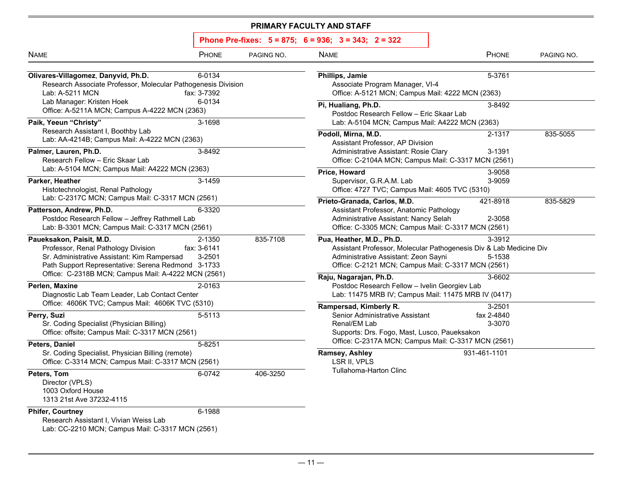| <b>INAME</b>                                                                                         | <b>PHUNE</b> | PAGING NO. | IV/ |
|------------------------------------------------------------------------------------------------------|--------------|------------|-----|
|                                                                                                      |              |            |     |
| Olivares-Villagomez, Danyvid, Ph.D.<br>Research Associate Professor, Molecular Pathogenesis Division | 6-0134       |            | Ph  |
| Lab: A-5211 MCN                                                                                      | fax: 3-7392  |            |     |
| Lab Manager: Kristen Hoek                                                                            | 6-0134       |            |     |
| Office: A-5211A MCN; Campus A-4222 MCN (2363)                                                        |              |            | Pi, |
|                                                                                                      |              |            |     |
| Paik, Yeeun "Christy"                                                                                | 3-1698       |            |     |
| Research Assistant I, Boothby Lab                                                                    |              |            | Po  |
| Lab: AA-4214B; Campus Mail: A-4222 MCN (2363)                                                        |              |            |     |
| Palmer, Lauren, Ph.D.                                                                                | 3-8492       |            |     |
| Research Fellow - Eric Skaar Lab                                                                     |              |            |     |
| Lab: A-5104 MCN; Campus Mail: A4222 MCN (2363)                                                       |              |            | Pri |
| Parker, Heather                                                                                      | 3-1459       |            |     |
| Histotechnologist, Renal Pathology                                                                   |              |            |     |
| Lab: C-2317C MCN; Campus Mail: C-3317 MCN (2561)                                                     |              |            | Pri |
| Patterson, Andrew, Ph.D.                                                                             | 6-3320       |            |     |
| Postdoc Research Fellow - Jeffrey Rathmell Lab                                                       |              |            |     |
| Lab: B-3301 MCN; Campus Mail: C-3317 MCN (2561)                                                      |              |            |     |
| Paueksakon, Paisit, M.D.                                                                             | 2-1350       | 835-7108   | Pu  |
| Professor, Renal Pathology Division                                                                  | fax: 3-6141  |            |     |
| Sr. Administrative Assistant: Kim Rampersad                                                          | 3-2501       |            |     |
| Path Support Representative: Serena Redmond 3-1733                                                   |              |            |     |
| Office: C-2318B MCN; Campus Mail: A-4222 MCN (2561)                                                  |              |            |     |
|                                                                                                      |              |            | Ra  |
| Perlen, Maxine                                                                                       | 2-0163       |            |     |
| Diagnostic Lab Team Leader, Lab Contact Center                                                       |              |            |     |
| Office: 4606K TVC; Campus Mail: 4606K TVC (5310)                                                     |              |            | Ra  |
| Perry, Suzi                                                                                          | 5-5113       |            |     |
| Sr. Coding Specialist (Physician Billing)                                                            |              |            |     |
| Office: offsite; Campus Mail: C-3317 MCN (2561)                                                      |              |            |     |
| Peters, Daniel                                                                                       | 5-8251       |            |     |
| Sr. Coding Specialist, Physician Billing (remote)                                                    |              |            | Ra  |
| Office: C-3314 MCN; Campus Mail: C-3317 MCN (2561)                                                   |              |            |     |
| Peters, Tom                                                                                          | 6-0742       | 406-3250   |     |
| Director (VPLS)                                                                                      |              |            |     |
| 1003 Oxford House                                                                                    |              |            |     |
| 1313 21st Ave 37232-4115                                                                             |              |            |     |
| <b>Phifer, Courtney</b>                                                                              | 6-1988       |            |     |
| Research Assistant I, Vivian Weiss Lab                                                               |              |            |     |
| Lab: CC-2210 MCN; Campus Mail: C-3317 MCN (2561)                                                     |              |            |     |
|                                                                                                      |              |            |     |

| <b>NAME</b>                                                                                                                                                                                 | PHONE                           | PAGING NO.                                                                                                       | <b>NAME</b>                                                                                                                                                                                   | PHONE                          | PAGING NO. |  |  |
|---------------------------------------------------------------------------------------------------------------------------------------------------------------------------------------------|---------------------------------|------------------------------------------------------------------------------------------------------------------|-----------------------------------------------------------------------------------------------------------------------------------------------------------------------------------------------|--------------------------------|------------|--|--|
| 6-0134<br>Olivares-Villagomez, Danyvid, Ph.D.<br>Research Associate Professor, Molecular Pathogenesis Division<br>Lab: A-5211 MCN<br>fax: 3-7392                                            |                                 | 5-3761<br>Phillips, Jamie<br>Associate Program Manager, VI-4<br>Office: A-5121 MCN; Campus Mail: 4222 MCN (2363) |                                                                                                                                                                                               |                                |            |  |  |
| Lab Manager: Kristen Hoek<br>Office: A-5211A MCN; Campus A-4222 MCN (2363)                                                                                                                  | 6-0134                          |                                                                                                                  | Pi, Hualiang, Ph.D.<br>3-8492<br>Postdoc Research Fellow - Eric Skaar Lab                                                                                                                     |                                |            |  |  |
| Paik, Yeeun "Christy"<br>Research Assistant I, Boothby Lab<br>Lab: AA-4214B; Campus Mail: A-4222 MCN (2363)                                                                                 | 3-1698                          |                                                                                                                  | Lab: A-5104 MCN; Campus Mail: A4222 MCN (2363)<br>Podoll, Mirna, M.D.                                                                                                                         | 2-1317                         | 835-5055   |  |  |
| Palmer, Lauren, Ph.D.<br>Research Fellow - Eric Skaar Lab<br>Lab: A-5104 MCN; Campus Mail: A4222 MCN (2363)                                                                                 | 3-8492                          |                                                                                                                  | Assistant Professor, AP Division<br>Administrative Assistant: Rosie Clary<br>Office: C-2104A MCN; Campus Mail: C-3317 MCN (2561)                                                              | 3-1391                         |            |  |  |
| Parker, Heather<br>Histotechnologist, Renal Pathology                                                                                                                                       | 3-1459                          |                                                                                                                  | Price, Howard<br>Supervisor, G.R.A.M. Lab<br>Office: 4727 TVC; Campus Mail: 4605 TVC (5310)                                                                                                   | 3-9058<br>3-9059               |            |  |  |
| Lab: C-2317C MCN; Campus Mail: C-3317 MCN (2561)<br>Patterson, Andrew, Ph.D.<br>6-3320<br>Postdoc Research Fellow - Jeffrey Rathmell Lab<br>Lab: B-3301 MCN; Campus Mail: C-3317 MCN (2561) |                                 |                                                                                                                  | Prieto-Granada, Carlos, M.D.<br>Assistant Professor, Anatomic Pathology<br>Administrative Assistant: Nancy Selah<br>Office: C-3305 MCN; Campus Mail: C-3317 MCN (2561)                        | 421-8918<br>2-3058             | 835-5829   |  |  |
| Paueksakon, Paisit, M.D.<br>Professor, Renal Pathology Division<br>Sr. Administrative Assistant: Kim Rampersad<br>Path Support Representative: Serena Redmond 3-1733                        | 2-1350<br>fax: 3-6141<br>3-2501 | 835-7108                                                                                                         | Pua, Heather, M.D., Ph.D.<br>Assistant Professor, Molecular Pathogenesis Div & Lab Medicine Div<br>Administrative Assistant: Zeon Sayni<br>Office: C-2121 MCN; Campus Mail: C-3317 MCN (2561) | 3-3912<br>5-1538               |            |  |  |
| Office: C-2318B MCN; Campus Mail: A-4222 MCN (2561)<br>Perlen, Maxine<br>Diagnostic Lab Team Leader, Lab Contact Center<br>Office: 4606K TVC; Campus Mail: 4606K TVC (5310)                 | 2-0163                          |                                                                                                                  | Raju, Nagarajan, Ph.D.<br>Postdoc Research Fellow - Ivelin Georgiev Lab<br>Lab: 11475 MRB IV; Campus Mail: 11475 MRB IV (0417)                                                                | 3-6602                         |            |  |  |
| Perry, Suzi<br>Sr. Coding Specialist (Physician Billing)<br>Office: offsite; Campus Mail: C-3317 MCN (2561)<br>Peters, Daniel                                                               | 5-5113<br>5-8251                |                                                                                                                  | Rampersad, Kimberly R.<br>Senior Administrative Assistant<br>Renal/EM Lab<br>Supports: Drs. Fogo, Mast, Lusco, Paueksakon<br>Office: C-2317A MCN; Campus Mail: C-3317 MCN (2561)              | 3-2501<br>fax 2-4840<br>3-3070 |            |  |  |
| Sr. Coding Specialist, Physician Billing (remote)<br>Office: C-3314 MCN; Campus Mail: C-3317 MCN (2561)                                                                                     |                                 |                                                                                                                  | <b>Ramsey, Ashley</b><br>LSR II, VPLS                                                                                                                                                         | 931-461-1101                   |            |  |  |
| Peters, Tom<br>$D_{\text{inertark}}$ (VDI $D$ )                                                                                                                                             | 6-0742                          | 406-3250                                                                                                         | Tullahoma-Harton Clinc                                                                                                                                                                        |                                |            |  |  |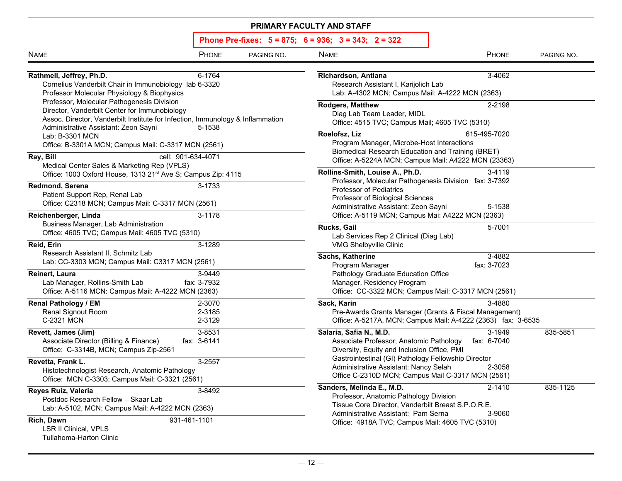| <b>NAME</b>                                                                                                                                                                                                                               | PHONE                                                                                                                                                                         | PAGING NO.                                                                                                                                                  | <b>NAME</b>                                                                                                                                                                                                          | PHONE                 | PAGING NO. |  |  |
|-------------------------------------------------------------------------------------------------------------------------------------------------------------------------------------------------------------------------------------------|-------------------------------------------------------------------------------------------------------------------------------------------------------------------------------|-------------------------------------------------------------------------------------------------------------------------------------------------------------|----------------------------------------------------------------------------------------------------------------------------------------------------------------------------------------------------------------------|-----------------------|------------|--|--|
| Rathmell, Jeffrey, Ph.D.<br>Cornelius Vanderbilt Chair in Immunobiology lab 6-3320<br>Professor Molecular Physiology & Biophysics                                                                                                         | 6-1764                                                                                                                                                                        |                                                                                                                                                             | 3-4062<br>Richardson, Antiana<br>Research Assistant I, Karijolich Lab<br>Lab: A-4302 MCN; Campus Mail: A-4222 MCN (2363)                                                                                             |                       |            |  |  |
|                                                                                                                                                                                                                                           | Professor, Molecular Pathogenesis Division<br>Director, Vanderbilt Center for Immunobiology<br>Assoc. Director, Vanderbilt Institute for Infection, Immunology & Inflammation |                                                                                                                                                             | <b>Rodgers, Matthew</b><br>Diag Lab Team Leader, MIDL<br>Office: 4515 TVC; Campus Mail; 4605 TVC (5310)                                                                                                              | 2-2198                |            |  |  |
| Administrative Assistant: Zeon Sayni<br>5-1538<br>Lab: B-3301 MCN<br>Office: B-3301A MCN; Campus Mail: C-3317 MCN (2561)                                                                                                                  |                                                                                                                                                                               | Roelofsz, Liz<br>615-495-7020<br>Program Manager, Microbe-Host Interactions<br>Biomedical Research Education and Training (BRET)                            |                                                                                                                                                                                                                      |                       |            |  |  |
| Ray, Bill<br>Medical Center Sales & Marketing Rep (VPLS)                                                                                                                                                                                  | cell: 901-634-4071                                                                                                                                                            |                                                                                                                                                             | Office: A-5224A MCN; Campus Mail: A4222 MCN (23363)                                                                                                                                                                  |                       |            |  |  |
| Redmond, Serena<br>Patient Support Rep, Renal Lab                                                                                                                                                                                         | Office: 1003 Oxford House, 1313 21st Ave S; Campus Zip: 4115<br>3-1733<br>Office: C2318 MCN; Campus Mail: C-3317 MCN (2561)                                                   |                                                                                                                                                             | Rollins-Smith, Louise A., Ph.D.<br>3-4119<br>Professor, Molecular Pathogenesis Division fax: 3-7392<br>Professor of Pediatrics<br>Professor of Biological Sciences<br>Administrative Assistant: Zeon Sayni<br>5-1538 |                       |            |  |  |
| Reichenberger, Linda<br>3-1178<br>Business Manager, Lab Administration<br>Office: 4605 TVC; Campus Mail: 4605 TVC (5310)<br>Reid, Erin<br>3-1289<br>Research Assistant II, Schmitz Lab<br>Lab: CC-3303 MCN; Campus Mail: C3317 MCN (2561) |                                                                                                                                                                               | Office: A-5119 MCN; Campus Mai: A4222 MCN (2363)<br>Rucks, Gail<br>5-7001<br>Lab Services Rep 2 Clinical (Diag Lab)                                         |                                                                                                                                                                                                                      |                       |            |  |  |
|                                                                                                                                                                                                                                           |                                                                                                                                                                               | VMG Shelbyville Clinic<br>Sachs, Katherine<br>3-4882<br>fax: 3-7023                                                                                         |                                                                                                                                                                                                                      |                       |            |  |  |
| Reinert, Laura<br>Lab Manager, Rollins-Smith Lab<br>Office: A-5116 MCN: Campus Mail: A-4222 MCN (2363)                                                                                                                                    | 3-9449<br>fax: 3-7932                                                                                                                                                         |                                                                                                                                                             | Program Manager<br>Pathology Graduate Education Office<br>Manager, Residency Program<br>Office: CC-3322 MCN; Campus Mail: C-3317 MCN (2561)                                                                          |                       |            |  |  |
| Renal Pathology / EM<br><b>Renal Signout Room</b><br>C-2321 MCN                                                                                                                                                                           | 2-3070<br>2-3185<br>2-3129                                                                                                                                                    |                                                                                                                                                             | Sack, Karin<br>Pre-Awards Grants Manager (Grants & Fiscal Management)<br>Office: A-5217A, MCN; Campus Mail: A-4222 (2363) fax: 3-6535                                                                                | 3-4880                |            |  |  |
| Revett, James (Jim)<br>Associate Director (Billing & Finance)<br>Office: C-3314B, MCN; Campus Zip-2561                                                                                                                                    | 3-8531<br>fax: 3-6141                                                                                                                                                         |                                                                                                                                                             | Salaria, Safia N., M.D.<br>Associate Professor; Anatomic Pathology<br>Diversity, Equity and Inclusion Office, PMI                                                                                                    | 3-1949<br>fax: 6-7040 | 835-5851   |  |  |
| Revetta, Frank L.<br>3-2557<br>Histotechnologist Research, Anatomic Pathology<br>Office: MCN C-3303; Campus Mail: C-3321 (2561)                                                                                                           |                                                                                                                                                                               | Gastrointestinal (GI) Pathology Fellowship Director<br>Administrative Assistant: Nancy Selah<br>2-3058<br>Office C-2310D MCN; Campus Mail C-3317 MCN (2561) |                                                                                                                                                                                                                      |                       |            |  |  |
| Reyes Ruiz, Valeria<br>Postdoc Research Fellow - Skaar Lab<br>Lab: A-5102, MCN; Campus Mail: A-4222 MCN (2363)                                                                                                                            | 3-8492                                                                                                                                                                        |                                                                                                                                                             | Sanders, Melinda E., M.D.<br>Professor, Anatomic Pathology Division<br>Tissue Core Director, Vanderbilt Breast S.P.O.R.E.                                                                                            | 2-1410                | 835-1125   |  |  |
| Rich, Dawn<br><b>LSR II Clinical, VPLS</b><br>Tullahoma-Harton Clinic                                                                                                                                                                     | 931-461-1101                                                                                                                                                                  |                                                                                                                                                             | Administrative Assistant: Pam Serna<br>Office: 4918A TVC; Campus Mail: 4605 TVC (5310)                                                                                                                               | 3-9060                |            |  |  |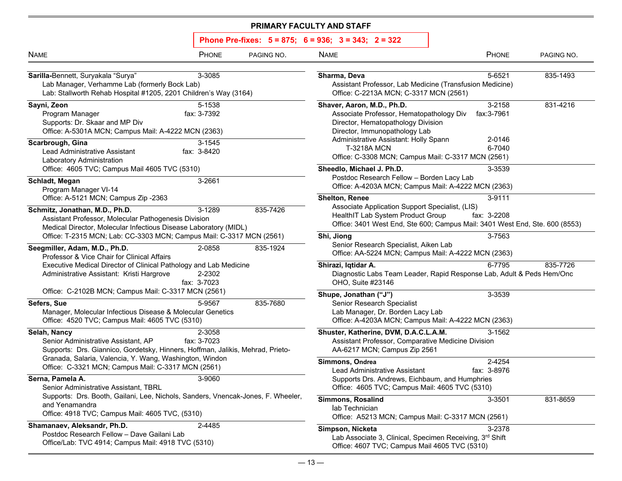| <b>NAME</b>                                                                                                                                                                                                                                                                                                           | PHONE                 | PAGING NO.                                                                                                                                        | <b>NAME</b>                                                                                                                                                                                  | PHONE                           | PAGING NO. |
|-----------------------------------------------------------------------------------------------------------------------------------------------------------------------------------------------------------------------------------------------------------------------------------------------------------------------|-----------------------|---------------------------------------------------------------------------------------------------------------------------------------------------|----------------------------------------------------------------------------------------------------------------------------------------------------------------------------------------------|---------------------------------|------------|
| Sarilla-Bennett, Suryakala "Surya"<br>Lab Manager, Verhamme Lab (formerly Bock Lab)<br>Lab: Stallworth Rehab Hospital #1205, 2201 Children's Way (3164)                                                                                                                                                               | 3-3085                |                                                                                                                                                   | Sharma, Deva<br>Assistant Professor, Lab Medicine (Transfusion Medicine)<br>Office: C-2213A MCN; C-3317 MCN (2561)                                                                           | 5-6521                          | 835-1493   |
| Sayni, Zeon<br>Program Manager<br>Supports: Dr. Skaar and MP Div<br>Office: A-5301A MCN; Campus Mail: A-4222 MCN (2363)                                                                                                                                                                                               | 5-1538<br>fax: 3-7392 |                                                                                                                                                   | Shaver, Aaron, M.D., Ph.D.<br>Associate Professor, Hematopathology Div<br>Director, Hematopathology Division<br>Director, Immunopathology Lab<br>Administrative Assistant: Holly Spann       | 3-2158<br>fax: 3-7961<br>2-0146 | 831-4216   |
| Scarbrough, Gina<br>Lead Administrative Assistant<br>Laboratory Administration                                                                                                                                                                                                                                        | 3-1545<br>fax: 3-8420 |                                                                                                                                                   | <b>T-3218A MCN</b><br>Office: C-3308 MCN; Campus Mail: C-3317 MCN (2561)                                                                                                                     | 6-7040                          |            |
| Office: 4605 TVC; Campus Mail 4605 TVC (5310)<br>Schladt, Megan<br>Program Manager VI-14                                                                                                                                                                                                                              | 3-2661                |                                                                                                                                                   | Sheedlo, Michael J. Ph.D.<br>Postdoc Research Fellow - Borden Lacy Lab<br>Office: A-4203A MCN; Campus Mail: A-4222 MCN (2363)                                                                | 3-3539                          |            |
| Office: A-5121 MCN; Campus Zip -2363<br>Schmitz, Jonathan, M.D., Ph.D.<br>Assistant Professor, Molecular Pathogenesis Division<br>Medical Director, Molecular Infectious Disease Laboratory (MIDL)                                                                                                                    | 3-1289                | 835-7426                                                                                                                                          | <b>Shelton, Renee</b><br>Associate Application Support Specialist, (LIS)<br>HealthIT Lab System Product Group<br>Office: 3401 West End, Ste 600; Campus Mail: 3401 West End, Ste. 600 (8553) | 3-9111<br>fax: 3-2208           |            |
| Office: T-2315 MCN; Lab: CC-3303 MCN; Campus Mail: C-3317 MCN (2561)<br>Seegmiller, Adam, M.D., Ph.D.<br>2-0858<br>835-1924<br>Professor & Vice Chair for Clinical Affairs<br>Executive Medical Director of Clinical Pathology and Lab Medicine<br>2-2302<br>Administrative Assistant: Kristi Hargrove<br>fax: 3-7023 |                       | Shi, Jiong<br>3-7563<br>Senior Research Specialist, Aiken Lab<br>Office: AA-5224 MCN; Campus Mail: A-4222 MCN (2363)                              |                                                                                                                                                                                              |                                 |            |
|                                                                                                                                                                                                                                                                                                                       |                       | Shirazi, Iqtidar A.<br>Diagnostic Labs Team Leader, Rapid Response Lab, Adult & Peds Hem/Onc<br>OHO, Suite #23146                                 | 6-7795                                                                                                                                                                                       | 835-7726                        |            |
| Office: C-2102B MCN; Campus Mail: C-3317 MCN (2561)<br>Sefers, Sue<br>Manager, Molecular Infectious Disease & Molecular Genetics<br>Office: 4520 TVC; Campus Mail: 4605 TVC (5310)                                                                                                                                    | 5-9567                | 835-7680                                                                                                                                          | Shupe, Jonathan ("J")<br><b>Senior Research Specialist</b><br>Lab Manager, Dr. Borden Lacy Lab<br>Office: A-4203A MCN; Campus Mail: A-4222 MCN (2363)                                        | 3-3539                          |            |
| Selah, Nancy<br>Senior Administrative Assistant, AP<br>Supports: Drs. Giannico, Gordetsky, Hinners, Hoffman, Jalikis, Mehrad, Prieto-                                                                                                                                                                                 | 2-3058<br>fax: 3-7023 |                                                                                                                                                   | Shuster, Katherine, DVM, D.A.C.L.A.M.<br>Assistant Professor, Comparative Medicine Division<br>AA-6217 MCN; Campus Zip 2561                                                                  | 3-1562                          |            |
| Granada, Salaria, Valencia, Y. Wang, Washington, Windon<br>Office: C-3321 MCN; Campus Mail: C-3317 MCN (2561)<br>Serna, Pamela A.                                                                                                                                                                                     | 3-9060                |                                                                                                                                                   | Simmons, Ondrea<br>Lead Administrative Assistant<br>Supports Drs. Andrews, Eichbaum, and Humphries                                                                                           | 2-4254<br>fax: 3-8976           |            |
| Senior Administrative Assistant, TBRL<br>Supports: Drs. Booth, Gailani, Lee, Nichols, Sanders, Vnencak-Jones, F. Wheeler,<br>and Yenamandra<br>Office: 4918 TVC; Campus Mail: 4605 TVC, (5310)                                                                                                                        |                       | Office: 4605 TVC; Campus Mail: 4605 TVC (5310)<br><b>Simmons, Rosalind</b><br>lab Technician<br>Office: A5213 MCN; Campus Mail: C-3317 MCN (2561) | 3-3501                                                                                                                                                                                       | 831-8659                        |            |
| Shamanaev, Aleksandr, Ph.D.<br>Postdoc Research Fellow - Dave Gailani Lab<br>Office/Lab: TVC 4914; Campus Mail: 4918 TVC (5310)                                                                                                                                                                                       | 2-4485                |                                                                                                                                                   | Simpson, Nicketa<br>Lab Associate 3, Clinical, Specimen Receiving, 3rd Shift<br>Office: 4607 TVC; Campus Mail 4605 TVC (5310)                                                                | 3-2378                          |            |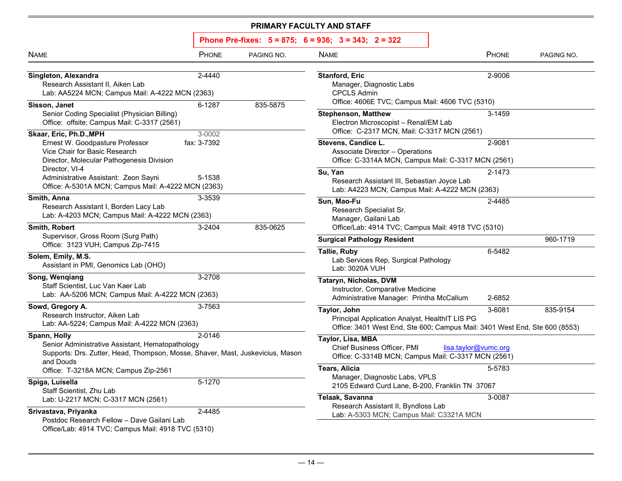| Phone Pre-fixes: 5 = 875; 6 = 936; 3 = 343; 2 = 322 |  |  |  |  |
|-----------------------------------------------------|--|--|--|--|
|-----------------------------------------------------|--|--|--|--|

| <b>NAME</b>                                                                                                                                                                                | <b>PHONE</b>          | PAGING NO. | <b>NAME</b>                                                                                                                                                  | PHONE                | PAGING NO. |
|--------------------------------------------------------------------------------------------------------------------------------------------------------------------------------------------|-----------------------|------------|--------------------------------------------------------------------------------------------------------------------------------------------------------------|----------------------|------------|
| Singleton, Alexandra<br>Research Assistant II, Aiken Lab<br>Lab: AA5224 MCN; Campus Mail: A-4222 MCN (2363)                                                                                | 2-4440                |            | <b>Stanford, Eric</b><br>Manager, Diagnostic Labs<br><b>CPCLS Admin</b>                                                                                      | 2-9006               |            |
| Sisson, Janet<br>Senior Coding Specialist (Physician Billing)<br>Office: offsite; Campus Mail: C-3317 (2561)                                                                               | 6-1287                | 835-5875   | Office: 4606E TVC; Campus Mail: 4606 TVC (5310)<br><b>Stephenson, Matthew</b><br>Electron Microscopist - Renal/EM Lab                                        | 3-1459               |            |
| Skaar, Eric, Ph.D., MPH<br>Ernest W. Goodpasture Professor<br>Vice Chair for Basic Research<br>Director, Molecular Pathogenesis Division                                                   | 3-0002<br>fax: 3-7392 |            | Office: C-2317 MCN, Mail: C-3317 MCN (2561)<br>Stevens, Candice L.<br>Associate Director - Operations<br>Office: C-3314A MCN, Campus Mail: C-3317 MCN (2561) | 2-9081               |            |
| Director, VI-4<br>Administrative Assistant: Zeon Sayni<br>Office: A-5301A MCN; Campus Mail: A-4222 MCN (2363)                                                                              | 5-1538                |            | Su, Yan<br>Research Assistant III, Sebastian Joyce Lab<br>Lab: A4223 MCN; Campus Mail: A-4222 MCN (2363)                                                     | 2-1473               |            |
| Smith, Anna<br>Research Assistant I, Borden Lacy Lab<br>Lab: A-4203 MCN; Campus Mail: A-4222 MCN (2363)                                                                                    | 3-3539                |            | Sun, Mao-Fu<br>Research Specialist Sr.<br>Manager, Gailani Lab                                                                                               | 2-4485               |            |
| Smith, Robert<br>Supervisor, Gross Room (Surg Path)<br>Office: 3123 VUH; Campus Zip-7415                                                                                                   | 3-2404                | 835-0625   | Office/Lab: 4914 TVC; Campus Mail: 4918 TVC (5310)<br><b>Surgical Pathology Resident</b>                                                                     |                      | 960-1719   |
| Solem, Emily, M.S.<br>Assistant in PMI, Genomics Lab (OHO)                                                                                                                                 |                       |            | <b>Tallie, Ruby</b><br>Lab Services Rep, Surgical Pathology<br>Lab: 3020A VUH                                                                                | 6-5482               |            |
| Song, Wenqiang<br>Staff Scientist, Luc Van Kaer Lab<br>Lab: AA-5206 MCN; Campus Mail: A-4222 MCN (2363)                                                                                    | 3-2708                |            | Tataryn, Nicholas, DVM<br>Instructor, Comparative Medicine<br>Administrative Manager: Printha McCallum                                                       | 2-6852               |            |
| Sowd, Gregory A.<br>Research Instructor, Aiken Lab<br>Lab: AA-5224; Campus Mail: A-4222 MCN (2363)                                                                                         | 3-7563                |            | Taylor, John<br>Principal Application Analyst, HealthIT LIS PG<br>Office: 3401 West End, Ste 600; Campus Mail: 3401 West End, Ste 600 (8553)                 | 3-6081               | 835-9154   |
| Spann, Holly<br>Senior Administrative Assistant, Hematopathology<br>Supports: Drs. Zutter, Head, Thompson, Mosse, Shaver, Mast, Juskevicius, Mason<br>and Douds                            | 2-0146                |            | Taylor, Lisa, MBA<br>Chief Business Officer, PMI<br>Office: C-3314B MCN; Campus Mail: C-3317 MCN (2561)                                                      | lisa.taylor@vumc.org |            |
| Office: T-3218A MCN; Campus Zip-2561<br>Spiga, Luisella                                                                                                                                    | 5-1270                |            | <b>Tears, Alicia</b><br>Manager, Diagnostic Labs, VPLS<br>2105 Edward Curd Lane, B-200, Franklin TN 37067                                                    | 5-5783               |            |
| Staff Scientist, Zhu Lab<br>Lab: U-2217 MCN; C-3317 MCN (2561)<br>Srivastava, Priyanka<br>Postdoc Research Fellow - Dave Gailani Lab<br>Office/Lab: 4914 TVC; Campus Mail: 4918 TVC (5310) | 2-4485                |            | Telaak, Savanna<br>Research Assistant II, Byndloss Lab<br>Lab: A-5303 MCN; Campus Mail: C3321A MCN                                                           | 3-0087               |            |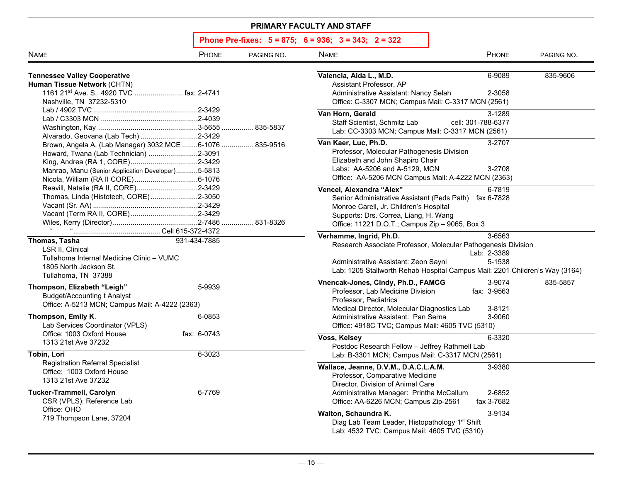| Phone Pre-fixes: 5 = 875; 6 = 936; 3 = 343; 2 = 322 |  |  |  |  |
|-----------------------------------------------------|--|--|--|--|
|-----------------------------------------------------|--|--|--|--|

| <b>NAME</b>                                                                                                                                            | PHONE                 | PAGING NO. | <b>NAME</b>                                                                                                                                                                                                             | PHONE                           | PAGING NO. |
|--------------------------------------------------------------------------------------------------------------------------------------------------------|-----------------------|------------|-------------------------------------------------------------------------------------------------------------------------------------------------------------------------------------------------------------------------|---------------------------------|------------|
| <b>Tennessee Valley Cooperative</b><br>Human Tissue Network (CHTN)<br>Nashville, TN 37232-5310                                                         |                       |            | Valencia, Aida L., M.D.<br>Assistant Professor, AP<br>Administrative Assistant: Nancy Selah<br>Office: C-3307 MCN; Campus Mail: C-3317 MCN (2561)                                                                       | 6-9089<br>2-3058                | 835-9606   |
| Alvarado, Geovana (Lab Tech) 2-3429                                                                                                                    |                       |            | Van Horn, Gerald<br>Staff Scientist, Schmitz Lab<br>Lab: CC-3303 MCN; Campus Mail: C-3317 MCN (2561)                                                                                                                    | 3-1289<br>cell: 301-788-6377    |            |
| Brown, Angela A. (Lab Manager) 3032 MCE 6-1076  835-9516<br>Howard, Twana (Lab Technician) 2-3091<br>Manrao, Manu (Senior Application Developer)5-5813 |                       |            | Van Kaer, Luc, Ph.D.<br>Professor, Molecular Pathogenesis Division<br>Elizabeth and John Shapiro Chair<br>Labs: AA-5206 and A-5129, MCN<br>Office: AA-5206 MCN Campus Mail: A-4222 MCN (2363)                           | 3-2707<br>3-2708                |            |
| Reavill, Natalie (RA II, CORE)2-3429<br>Thomas, Linda (Histotech, CORE)2-3050                                                                          |                       |            | Vencel, Alexandra "Alex"<br>Senior Administrative Assistant (Peds Path) fax 6-7828<br>Monroe Carell, Jr. Children's Hospital<br>Supports: Drs. Correa, Liang, H. Wang<br>Office: 11221 D.O.T.; Campus Zip - 9065, Box 3 | 6-7819                          |            |
| Thomas, Tasha<br><b>LSR II, Clinical</b><br>Tullahoma Internal Medicine Clinic - VUMC<br>1805 North Jackson St.<br>Tullahoma, TN 37388                 | 931-434-7885          |            | Verhamme, Ingrid, Ph.D.<br>Research Associate Professor, Molecular Pathogenesis Division<br>Administrative Assistant: Zeon Sayni<br>Lab: 1205 Stallworth Rehab Hospital Campus Mail: 2201 Children's Way (3164)         | 3-6563<br>Lab: 2-3389<br>5-1538 |            |
| Thompson, Elizabeth "Leigh"<br><b>Budget/Accounting t Analyst</b><br>Office: A-5213 MCN; Campus Mail: A-4222 (2363)                                    | 5-9939                |            | Vnencak-Jones, Cindy, Ph.D., FAMCG<br>Professor, Lab Medicine Division<br>Professor, Pediatrics<br>Medical Director, Molecular Diagnostics Lab                                                                          | 3-9074<br>fax: 3-9563<br>3-8121 | 835-5857   |
| Thompson, Emily K.<br>Lab Services Coordinator (VPLS)<br>Office: 1003 Oxford House                                                                     | 6-0853<br>fax: 6-0743 |            | Administrative Assistant: Pan Serna<br>Office: 4918C TVC; Campus Mail: 4605 TVC (5310)<br>Voss, Kelsey                                                                                                                  | 3-9060<br>6-3320                |            |
| 1313 21st Ave 37232<br>Tobin, Lori                                                                                                                     | 6-3023                |            | Postdoc Research Fellow - Jeffrey Rathmell Lab<br>Lab: B-3301 MCN; Campus Mail: C-3317 MCN (2561)                                                                                                                       |                                 |            |
| <b>Registration Referral Specialist</b><br>Office: 1003 Oxford House<br>1313 21st Ave 37232                                                            |                       |            | Wallace, Jeanne, D.V.M., D.A.C.L.A.M.<br>Professor, Comparative Medicine<br>Director, Division of Animal Care                                                                                                           | 3-9380                          |            |
| <b>Tucker-Trammell, Carolyn</b><br>CSR (VPLS); Reference Lab<br>Office: OHO<br>719 Thompson Lane, 37204                                                | 6-7769                |            | Administrative Manager: Printha McCallum<br>Office: AA-6226 MCN; Campus Zip-2561<br>Walton, Schaundra K.<br>Diag Lab Team Leader, Histopathology 1st Shift                                                              | 2-6852<br>fax 3-7682<br>3-9134  |            |
|                                                                                                                                                        |                       |            | Lab: 4532 TVC; Campus Mail: 4605 TVC (5310)                                                                                                                                                                             |                                 |            |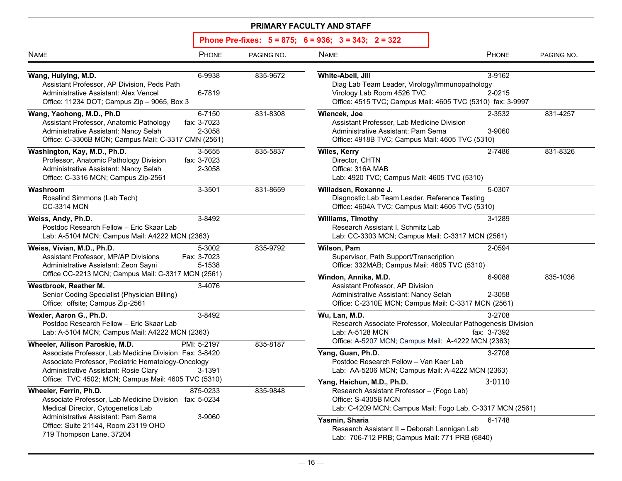| Phone Pre-fixes: 5 = 875; 6 = 936; 3 = 343; 2 = 322 |  |  |  |  |
|-----------------------------------------------------|--|--|--|--|
|-----------------------------------------------------|--|--|--|--|

| <b>NAME</b>                                                                                                                                                                                                                                     | <b>PHONE</b>                    | PAGING NO. | <b>NAME</b>                                                                                                                                                     | <b>PHONE</b>          | PAGING NO. |
|-------------------------------------------------------------------------------------------------------------------------------------------------------------------------------------------------------------------------------------------------|---------------------------------|------------|-----------------------------------------------------------------------------------------------------------------------------------------------------------------|-----------------------|------------|
| Wang, Huiying, M.D.<br>Assistant Professor, AP Division, Peds Path<br>Administrative Assistant: Alex Vencel<br>Office: 11234 DOT; Campus Zip - 9065, Box 3                                                                                      | 6-9938<br>6-7819                | 835-9672   | White-Abell, Jill<br>Diag Lab Team Leader, Virology/Immunopathology<br>Virology Lab Room 4526 TVC<br>Office: 4515 TVC; Campus Mail: 4605 TVC (5310) fax: 3-9997 | 3-9162<br>2-0215      |            |
| Wang, Yaohong, M.D., Ph.D<br>Assistant Professor, Anatomic Pathology<br>Administrative Assistant: Nancy Selah<br>Office: C-3306B MCN; Campus Mail: C-3317 CMN (2561)                                                                            | 6-7150<br>fax: 3-7023<br>2-3058 | 831-8308   | Wiencek, Joe<br>Assistant Professor, Lab Medicine Division<br>Administrative Assistant: Pam Serna<br>Office: 4918B TVC; Campus Mail: 4605 TVC (5310)            | 2-3532<br>3-9060      | 831-4257   |
| Washington, Kay, M.D., Ph.D.<br>Professor, Anatomic Pathology Division<br>Administrative Assistant: Nancy Selah<br>Office: C-3316 MCN; Campus Zip-2561                                                                                          | 3-5655<br>fax: 3-7023<br>2-3058 | 835-5837   | Wiles, Kerry<br>Director, CHTN<br>Office: 316A MAB<br>Lab: 4920 TVC; Campus Mail: 4605 TVC (5310)                                                               | 2-7486                | 831-8326   |
| Washroom<br>Rosalind Simmons (Lab Tech)<br><b>CC-3314 MCN</b>                                                                                                                                                                                   | 3-3501                          | 831-8659   | Willadsen, Roxanne J.<br>Diagnostic Lab Team Leader, Reference Testing<br>Office: 4604A TVC; Campus Mail: 4605 TVC (5310)                                       | 5-0307                |            |
| Weiss, Andy, Ph.D.<br>Postdoc Research Fellow - Eric Skaar Lab<br>Lab: A-5104 MCN; Campus Mail: A4222 MCN (2363)                                                                                                                                | 3-8492                          |            | <b>Williams, Timothy</b><br>Research Assistant I, Schmitz Lab<br>Lab: CC-3303 MCN; Campus Mail: C-3317 MCN (2561)                                               | 3-1289                |            |
| Weiss, Vivian, M.D., Ph.D.<br>Assistant Professor, MP/AP Divisions<br>Administrative Assistant: Zeon Sayni                                                                                                                                      | 5-3002<br>Fax: 3-7023<br>5-1538 | 835-9792   | Wilson, Pam<br>Supervisor, Path Support/Transcription<br>Office: 332MAB; Campus Mail: 4605 TVC (5310)                                                           | 2-0594                |            |
| Office CC-2213 MCN; Campus Mail: C-3317 MCN (2561)<br>Westbrook, Reather M.<br>Senior Coding Specialist (Physician Billing)<br>Office: offsite; Campus Zip-2561                                                                                 | 3-4076                          |            | Windon, Annika, M.D.<br>Assistant Professor, AP Division<br>Administrative Assistant: Nancy Selah<br>Office: C-2310E MCN; Campus Mail: C-3317 MCN (2561)        | 6-9088<br>2-3058      | 835-1036   |
| Wexler, Aaron G., Ph.D.<br>Postdoc Research Fellow - Eric Skaar Lab<br>Lab: A-5104 MCN; Campus Mail: A4222 MCN (2363)                                                                                                                           | 3-8492                          |            | Wu, Lan, M.D.<br>Research Associate Professor, Molecular Pathogenesis Division<br>Lab: A-5128 MCN<br>Office: A-5207 MCN; Campus Mail: A-4222 MCN (2363)         | 3-2708<br>fax: 3-7392 |            |
| Wheeler, Allison Paroskie, M.D.<br>Associate Professor, Lab Medicine Division Fax: 3-8420<br>Associate Professor, Pediatric Hematology-Oncology<br>Administrative Assistant: Rosie Clary<br>Office: TVC 4502; MCN; Campus Mail: 4605 TVC (5310) | PMI: 5-2197<br>3-1391           | 835-8187   | Yang, Guan, Ph.D.<br>Postdoc Research Fellow - Van Kaer Lab<br>Lab: AA-5206 MCN; Campus Mail: A-4222 MCN (2363)                                                 | 3-2708                |            |
| Wheeler, Ferrin, Ph.D.<br>Associate Professor, Lab Medicine Division fax: 5-0234<br>Medical Director, Cytogenetics Lab                                                                                                                          | 875-0233                        | 835-9848   | Yang, Haichun, M.D., Ph.D.<br>Research Assistant Professor - (Fogo Lab)<br>Office: S-4305B MCN<br>Lab: C-4209 MCN; Campus Mail: Fogo Lab, C-3317 MCN (2561)     | 3-0110                |            |
| Administrative Assistant: Pam Serna<br>Office: Suite 21144, Room 23119 OHO<br>719 Thompson Lane, 37204                                                                                                                                          | 3-9060                          |            | Yasmin, Sharia<br>Research Assistant II - Deborah Lannigan Lab<br>Lab: 706-712 PRB; Campus Mail: 771 PRB (6840)                                                 | 6-1748                |            |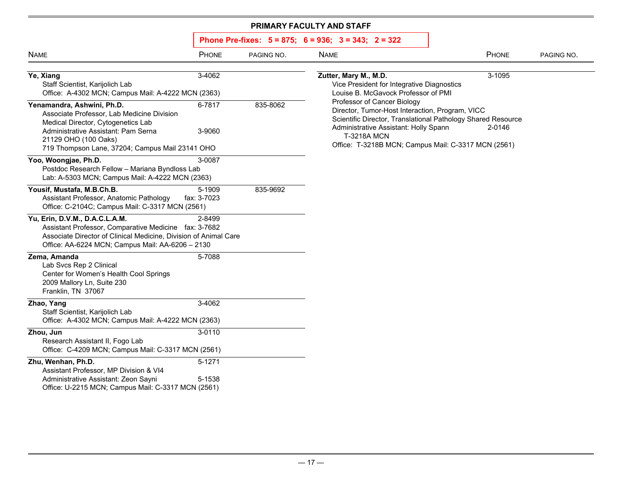| <b>NAME</b>                                                                                                                                                                                                                      | PHONE                 | PAGING NO. | <b>NAME</b>                                                                                                                                                                                                                                                          | PHONE  | PAGING NO. |
|----------------------------------------------------------------------------------------------------------------------------------------------------------------------------------------------------------------------------------|-----------------------|------------|----------------------------------------------------------------------------------------------------------------------------------------------------------------------------------------------------------------------------------------------------------------------|--------|------------|
| Ye, Xiang<br>Staff Scientist, Karijolich Lab<br>Office: A-4302 MCN; Campus Mail: A-4222 MCN (2363)                                                                                                                               | 3-4062                |            | Zutter, Mary M., M.D.<br>Vice President for Integrative Diagnostics<br>Louise B. McGavock Professor of PMI                                                                                                                                                           | 3-1095 |            |
| Yenamandra, Ashwini, Ph.D.<br>Associate Professor, Lab Medicine Division<br>Medical Director, Cytogenetics Lab<br>Administrative Assistant: Pam Serna<br>21129 OHO (100 Oaks)<br>719 Thompson Lane, 37204; Campus Mail 23141 OHO | 6-7817<br>3-9060      | 835-8062   | Professor of Cancer Biology<br>Director, Tumor-Host Interaction, Program, VICC<br>Scientific Director, Translational Pathology Shared Resource<br>Administrative Assistant: Holly Spann<br><b>T-3218A MCN</b><br>Office: T-3218B MCN; Campus Mail: C-3317 MCN (2561) | 2-0146 |            |
| Yoo, Woongjae, Ph.D.<br>Postdoc Research Fellow - Mariana Byndloss Lab<br>Lab: A-5303 MCN; Campus Mail: A-4222 MCN (2363)                                                                                                        | 3-0087                |            |                                                                                                                                                                                                                                                                      |        |            |
| Yousif, Mustafa, M.B.Ch.B.<br>Assistant Professor, Anatomic Pathology<br>Office: C-2104C; Campus Mail: C-3317 MCN (2561)                                                                                                         | 5-1909<br>fax: 3-7023 | 835-9692   |                                                                                                                                                                                                                                                                      |        |            |
| Yu, Erin, D.V.M., D.A.C.L.A.M.<br>Assistant Professor, Comparative Medicine fax: 3-7682<br>Associate Director of Clinical Medicine, Division of Animal Care<br>Office: AA-6224 MCN; Campus Mail: AA-6206 - 2130                  | 2-8499                |            |                                                                                                                                                                                                                                                                      |        |            |
| Zema, Amanda<br>Lab Svcs Rep 2 Clinical<br>Center for Women's Health Cool Springs<br>2009 Mallory Ln, Suite 230<br>Franklin, TN 37067                                                                                            | 5-7088                |            |                                                                                                                                                                                                                                                                      |        |            |
| Zhao, Yang<br>Staff Scientist, Karijolich Lab<br>Office: A-4302 MCN; Campus Mail: A-4222 MCN (2363)                                                                                                                              | 3-4062                |            |                                                                                                                                                                                                                                                                      |        |            |
| Zhou, Jun<br>Research Assistant II, Fogo Lab<br>Office: C-4209 MCN; Campus Mail: C-3317 MCN (2561)                                                                                                                               | 3-0110                |            |                                                                                                                                                                                                                                                                      |        |            |
| Zhu, Wenhan, Ph.D.<br>Assistant Professor, MP Division & VI4<br>Administrative Assistant: Zeon Sayni<br>Office: U-2215 MCN; Campus Mail: C-3317 MCN (2561)                                                                       | 5-1271<br>5-1538      |            |                                                                                                                                                                                                                                                                      |        |            |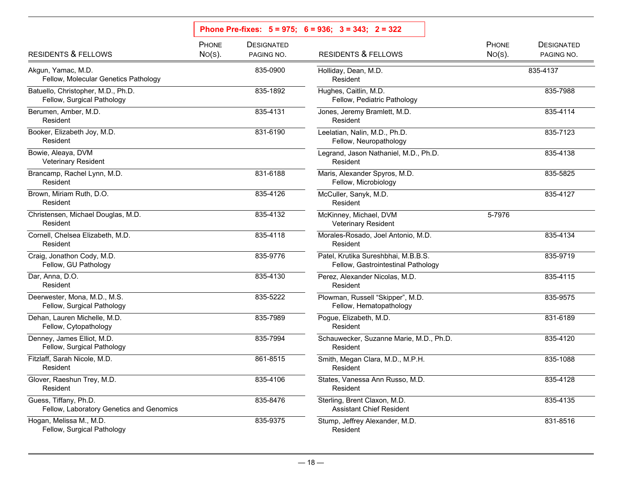|                                                                   |                    |                                 | Phone Pre-fixes: $5 = 975$ ; $6 = 936$ ; $3 = 343$ ; $2 = 322$            |                    |                                 |
|-------------------------------------------------------------------|--------------------|---------------------------------|---------------------------------------------------------------------------|--------------------|---------------------------------|
| <b>RESIDENTS &amp; FELLOWS</b>                                    | PHONE<br>$No(s)$ . | <b>DESIGNATED</b><br>PAGING NO. | <b>RESIDENTS &amp; FELLOWS</b>                                            | PHONE<br>$No(s)$ . | <b>DESIGNATED</b><br>PAGING NO. |
| Akgun, Yamac, M.D.<br>Fellow, Molecular Genetics Pathology        |                    | 835-0900                        | Holliday, Dean, M.D.<br>Resident                                          |                    | 835-4137                        |
| Batuello, Christopher, M.D., Ph.D.<br>Fellow, Surgical Pathology  |                    | 835-1892                        | Hughes, Caitlin, M.D.<br>Fellow, Pediatric Pathology                      |                    | 835-7988                        |
| Berumen, Amber, M.D.<br>Resident                                  |                    | 835-4131                        | Jones, Jeremy Bramlett, M.D.<br>Resident                                  |                    | 835-4114                        |
| Booker, Elizabeth Joy, M.D.<br>Resident                           |                    | 831-6190                        | Leelatian, Nalin, M.D., Ph.D.<br>Fellow, Neuropathology                   |                    | 835-7123                        |
| Bowie, Aleaya, DVM<br><b>Veterinary Resident</b>                  |                    |                                 | Legrand, Jason Nathaniel, M.D., Ph.D.<br>Resident                         |                    | 835-4138                        |
| Brancamp, Rachel Lynn, M.D.<br>Resident                           |                    | 831-6188                        | Maris, Alexander Spyros, M.D.<br>Fellow, Microbiology                     |                    | 835-5825                        |
| Brown, Miriam Ruth, D.O.<br>Resident                              |                    | 835-4126                        | McCuller, Sanyk, M.D.<br>Resident                                         |                    | 835-4127                        |
| Christensen, Michael Douglas, M.D.<br>Resident                    |                    | 835-4132                        | McKinney, Michael, DVM<br><b>Veterinary Resident</b>                      | 5-7976             |                                 |
| Cornell, Chelsea Elizabeth, M.D.<br>Resident                      |                    | 835-4118                        | Morales-Rosado, Joel Antonio, M.D.<br>Resident                            |                    | 835-4134                        |
| Craig, Jonathon Cody, M.D.<br>Fellow, GU Pathology                |                    | 835-9776                        | Patel, Krutika Sureshbhai, M.B.B.S.<br>Fellow, Gastrointestinal Pathology |                    | 835-9719                        |
| Dar, Anna, D.O.<br>Resident                                       |                    | 835-4130                        | Perez, Alexander Nicolas, M.D.<br>Resident                                |                    | 835-4115                        |
| Deerwester, Mona, M.D., M.S.<br>Fellow, Surgical Pathology        |                    | 835-5222                        | Plowman, Russell "Skipper", M.D.<br>Fellow, Hematopathology               |                    | 835-9575                        |
| Dehan, Lauren Michelle, M.D.<br>Fellow, Cytopathology             |                    | 835-7989                        | Pogue, Elizabeth, M.D.<br>Resident                                        |                    | 831-6189                        |
| Denney, James Elliot, M.D.<br>Fellow, Surgical Pathology          |                    | 835-7994                        | Schauwecker, Suzanne Marie, M.D., Ph.D.<br>Resident                       |                    | 835-4120                        |
| Fitzlaff, Sarah Nicole, M.D.<br>Resident                          |                    | 861-8515                        | Smith, Megan Clara, M.D., M.P.H.<br>Resident                              |                    | 835-1088                        |
| Glover, Raeshun Trey, M.D.<br>Resident                            |                    | 835-4106                        | States, Vanessa Ann Russo, M.D.<br>Resident                               |                    | 835-4128                        |
| Guess, Tiffany, Ph.D.<br>Fellow, Laboratory Genetics and Genomics |                    | 835-8476                        | Sterling, Brent Claxon, M.D.<br><b>Assistant Chief Resident</b>           |                    | 835-4135                        |
| Hogan, Melissa M., M.D.<br>Fellow, Surgical Pathology             |                    | 835-9375                        | Stump, Jeffrey Alexander, M.D.<br>Resident                                |                    | 831-8516                        |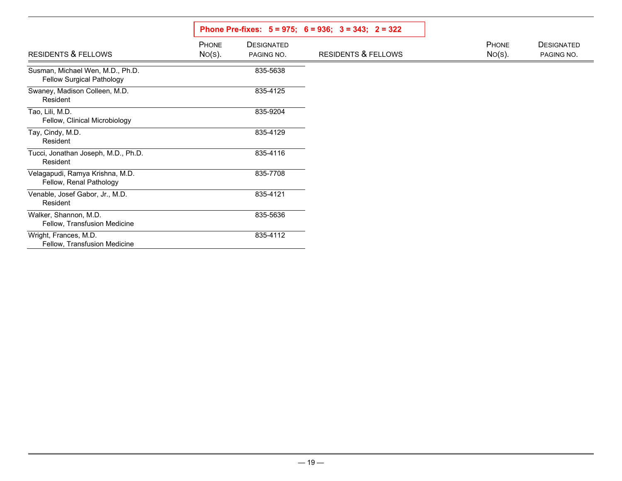|                                                               |                           |                                 | Phone Pre-fixes: $5 = 975$ ; $6 = 936$ ; $3 = 343$ ; $2 = 322$ |                    |                                 |  |  |
|---------------------------------------------------------------|---------------------------|---------------------------------|----------------------------------------------------------------|--------------------|---------------------------------|--|--|
| <b>RESIDENTS &amp; FELLOWS</b>                                | <b>PHONE</b><br>$No(s)$ . | <b>DESIGNATED</b><br>PAGING NO. | <b>RESIDENTS &amp; FELLOWS</b>                                 | PHONE<br>$No(s)$ . | <b>DESIGNATED</b><br>PAGING NO. |  |  |
| Susman, Michael Wen, M.D., Ph.D.<br>Fellow Surgical Pathology |                           | 835-5638                        |                                                                |                    |                                 |  |  |
| Swaney, Madison Colleen, M.D.<br>Resident                     |                           | 835-4125                        |                                                                |                    |                                 |  |  |
| Tao, Lili, M.D.<br>Fellow, Clinical Microbiology              |                           | 835-9204                        |                                                                |                    |                                 |  |  |
| Tay, Cindy, M.D.<br>Resident                                  |                           | 835-4129                        |                                                                |                    |                                 |  |  |
| Tucci, Jonathan Joseph, M.D., Ph.D.<br>Resident               |                           | 835-4116                        |                                                                |                    |                                 |  |  |
| Velagapudi, Ramya Krishna, M.D.<br>Fellow, Renal Pathology    |                           | 835-7708                        |                                                                |                    |                                 |  |  |
| Venable, Josef Gabor, Jr., M.D.<br>Resident                   |                           | 835-4121                        |                                                                |                    |                                 |  |  |
| Walker, Shannon, M.D.<br>Fellow, Transfusion Medicine         |                           | 835-5636                        |                                                                |                    |                                 |  |  |
| Wright, Frances, M.D.<br>Fellow, Transfusion Medicine         |                           | 835-4112                        |                                                                |                    |                                 |  |  |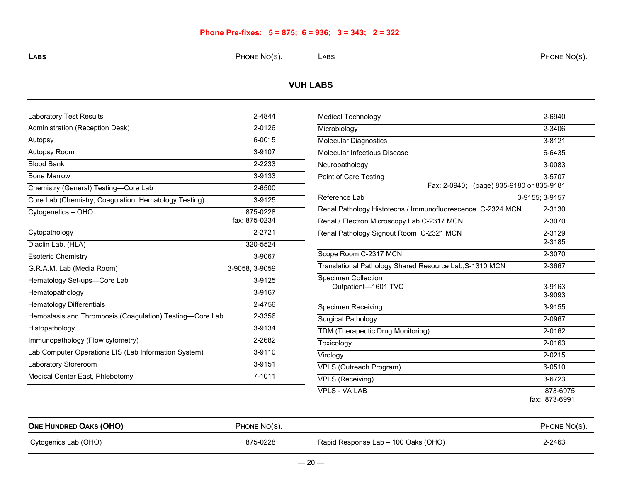## **Phone Pre-fixes: 5 = 875; 6 = 936; 3 = 343; 2 = 322**

**LABS**

S The state of the state of the PHONE NO(S). The LABS the state of the state of the phone No(S). In the state of the state of the state of the state of the state of the state of the state of the state of the state of the s

### **VUH LABS**

| <b>Laboratory Test Results</b>                           | 2-4844         |
|----------------------------------------------------------|----------------|
| Administration (Reception Desk)                          | 2-0126         |
| Autopsy                                                  | 6-0015         |
| Autopsy Room                                             | 3-9107         |
| <b>Blood Bank</b>                                        | 2-2233         |
| <b>Bone Marrow</b>                                       | 3-9133         |
| Chemistry (General) Testing-Core Lab                     | 2-6500         |
| Core Lab (Chemistry, Coagulation, Hematology Testing)    | 3-9125         |
| Cytogenetics - OHO                                       | 875-0228       |
|                                                          | fax: 875-0234  |
| Cytopathology                                            | 2-2721         |
| Diaclin Lab. (HLA)                                       | 320-5524       |
| <b>Esoteric Chemistry</b>                                | 3-9067         |
| G.R.A.M. Lab (Media Room)                                | 3-9058, 3-9059 |
| Hematology Set-ups-Core Lab                              | 3-9125         |
| Hematopathology                                          | 3-9167         |
| <b>Hematology Differentials</b>                          | 2-4756         |
| Hemostasis and Thrombosis (Coagulation) Testing-Core Lab | 2-3356         |
| Histopathology                                           | 3-9134         |
| Immunopathology (Flow cytometry)                         | 2-2682         |
| Lab Computer Operations LIS (Lab Information System)     | 3-9110         |
| Laboratory Storeroom                                     | 3-9151         |
| Medical Center East, Phlebotomy                          | 7-1011         |

| <b>Medical Technology</b>                                  | 2-6940         |
|------------------------------------------------------------|----------------|
| Microbiology                                               | 2-3406         |
| <b>Molecular Diagnostics</b>                               | 3-8121         |
| Molecular Infectious Disease                               | 6-6435         |
| Neuropathology                                             | 3-0083         |
| Point of Care Testing                                      | 3-5707         |
| Fax: 2-0940; (page) 835-9180 or 835-9181                   |                |
| Reference Lab                                              | 3-9155; 3-9157 |
| Renal Pathology Histotechs / Immunofluorescence C-2324 MCN | 2-3130         |
| Renal / Electron Microscopy Lab C-2317 MCN                 | 2-3070         |
| Renal Pathology Signout Room C-2321 MCN                    | 2-3129         |
|                                                            | 2-3185         |
| Scope Room C-2317 MCN                                      | 2-3070         |
| Translational Pathology Shared Resource Lab, S-1310 MCN    | 2-3667         |
| <b>Specimen Collection</b>                                 |                |
| Outpatient-1601 TVC                                        | 3-9163         |
|                                                            | 3-9093         |
| <b>Specimen Receiving</b>                                  | 3-9155         |
| Surgical Pathology                                         | 2-0967         |
| TDM (Therapeutic Drug Monitoring)                          | 2-0162         |
| Toxicology                                                 | 2-0163         |
| Virology                                                   | 2-0215         |
| <b>VPLS (Outreach Program)</b>                             | 6-0510         |
| <b>VPLS (Receiving)</b>                                    | 3-6723         |
| <b>VPLS - VA LAB</b>                                       | 873-6975       |
|                                                            | fax: 873-6991  |

| <b>ONE HUNDRED OAKS (OHO)</b> | PHONE NO(S). |                                     | PHONE NO(S). |
|-------------------------------|--------------|-------------------------------------|--------------|
| Cytogenics Lab (OHO)          | 875-0228     | Rapid Response Lab – 100 Oaks (OHO) | 2-2463       |

 $\mathbf{r}$